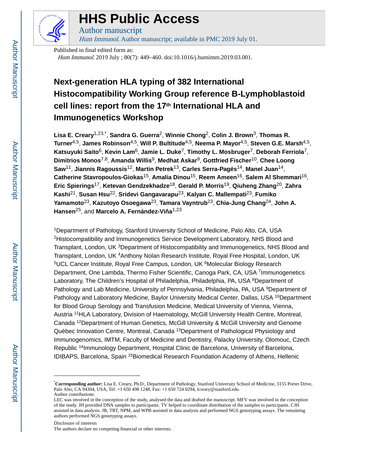

## **HHS Public Access**

Author manuscript Hum Immunol. Author manuscript; available in PMC 2019 July 01.

Published in final edited form as: Hum Immunol. 2019 July ; 80(7): 449–460. doi:10.1016/j.humimm.2019.03.001.

### **Next-generation HLA typing of 382 International Histocompatibility Working Group reference B-Lymphoblastoid cell lines: report from the 17th International HLA and Immunogenetics Workshop**

**Lisa E. Creary**1,23,\* , **Sandra G. Guerra**2, **Winnie Chong**2, **Colin J. Brown**3, **Thomas R. Turner**4,5, **James Robinson**4,5, **Will P. Bultitude**4,5, **Neema P. Mayor**4,5, **Steven G.E. Marsh**4,5, **Katsuyuki Saito**6, **Kevin Lam**6, **Jamie L. Duke**7, **Timothy L. Mosbruger**7, **Deborah Ferriola**7, **Dimitrios Monos**7,8, **Amanda Willis**9, **Medhat Askar**9, **Gottfried Fischer**10, **Chee Loong Saw**11, **Jiannis Ragoussis**12, **Martin Petrek**13, **Carles Serra-Pagés**14, **Manel Juan**14, **Catherine Stavropoulos-Giokas**15, **Amalia Dinou**15, **Reem Ameen**16, **Salem Al Shemmari**16, **Eric Spierings**17, **Ketevan Gendzekhadze**18, **Gerald P. Morris**19, **Qiuheng Zhang**20, **Zahra Kashi**21, **Susan Hsu**22, **Sridevi Gangavarapu**23, **Kalyan C. Mallempati**23, **Fumiko Yamamoto**23, **Kazutoyo Osoegawa**23, **Tamara Vayntrub**23, **Chia-Jung Chang**24, **John A. Hansen**<sup>25</sup>, and Marcelo A. Fernández-Vi a<sup>1,23</sup>

<sup>1</sup>Department of Pathology, Stanford University School of Medicine, Palo Alto, CA, USA <sup>2</sup>Histocompatibility and Immunogenetics Service Development Laboratory, NHS Blood and Transplant, London, UK <sup>3</sup>Department of Histocompatibility and Immunogenetics, NHS Blood and Transplant, London, UK <sup>4</sup>Anthony Nolan Research Institute, Royal Free Hospital, London, UK <sup>5</sup>UCL Cancer Institute, Royal Free Campus, London, UK <sup>6</sup>Molecular Biology Research Department, One Lambda, Thermo Fisher Scientific, Canoga Park, CA, USA <sup>7</sup>Immunogenetics Laboratory, The Children's Hospital of Philadelphia, Philadelphia, PA, USA <sup>8</sup>Department of Pathology and Lab Medicine, University of Pennsylvania, Philadelphia, PA, USA <sup>9</sup>Department of Pathology and Laboratory Medicine, Baylor University Medical Center, Dallas, USA <sup>10</sup>Department for Blood Group Serology and Transfusion Medicine, Medical University of Vienna, Vienna, Austria <sup>11</sup>HLA Laboratory, Division of Haematology, McGill University Health Centre, Montreal, Canada 12Department of Human Genetics, McGill University & McGill University and Genome Quèbec Innovation Centre, Montreal, Canada<sup>13</sup>Department of Pathological Physiology and Immunogenomics, IMTM, Faculty of Medicine and Dentistry, Palacky University, Olomouc, Czech Republic <sup>14</sup>Immunology Department, Hospital Clinic de Barcelona, University of Barcelona, IDIBAPS, Barcelona, Spain <sup>15</sup>Biomedical Research Foundation Academy of Athens, Hellenic

Disclosure of interests

<sup>\*</sup>**Corresponding author:** Lisa E. Creary, Ph.D., Department of Pathology, Stanford University School of Medicine, 3155 Porter Drive, Palo Alto, CA 94304, USA, Tel: +1 650 498 1248, Fax: +1 650 724 0294, lcreary@stanford.edu. Author contributions

LEC was involved in the conception of the study, analysed the data and drafted the manuscript. MFV was involved in the conception of the study. JH provided DNA samples to participants. TV helped to coordinate distribution of the samples to participants. CJH assisted in data analysis. JR, TRT, NPM, and WPB assisted in data analysis and performed NGS genotyping assays. The remaining authors performed NGS genotyping assays.

The authors declare no competing financial or other interests.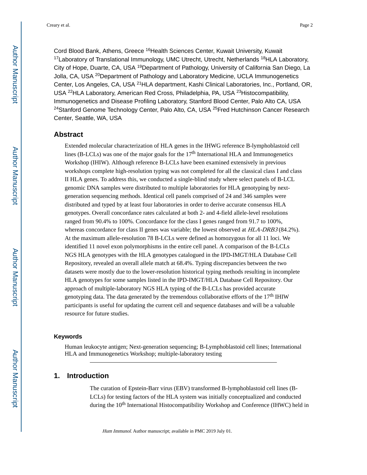Cord Blood Bank, Athens, Greece <sup>16</sup>Health Sciences Center, Kuwait University, Kuwait <sup>17</sup>Laboratory of Translational Immunology, UMC Utrecht, Utrecht, Netherlands <sup>18</sup>HLA Laboratory, City of Hope, Duarte, CA, USA <sup>19</sup>Department of Pathology, University of California San Diego, La Jolla, CA, USA <sup>20</sup>Department of Pathology and Laboratory Medicine, UCLA Immunogenetics Center, Los Angeles, CA, USA <sup>21</sup>HLA department, Kashi Clinical Laboratories, Inc., Portland, OR, USA <sup>22</sup>HLA Laboratory, American Red Cross, Philadelphia, PA, USA <sup>23</sup>Histocompatibility, Immunogenetics and Disease Profiling Laboratory, Stanford Blood Center, Palo Alto CA, USA <sup>24</sup>Stanford Genome Technology Center, Palo Alto, CA, USA <sup>25</sup>Fred Hutchinson Cancer Research Center, Seattle, WA, USA

#### **Abstract**

Extended molecular characterization of HLA genes in the IHWG reference B-lymphoblastoid cell lines (B-LCLs) was one of the major goals for the  $17<sup>th</sup>$  International HLA and Immunogenetics Workshop (IHIW). Although reference B-LCLs have been examined extensively in previous workshops complete high-resolution typing was not completed for all the classical class I and class II HLA genes. To address this, we conducted a single-blind study where select panels of B-LCL genomic DNA samples were distributed to multiple laboratories for HLA genotyping by nextgeneration sequencing methods. Identical cell panels comprised of 24 and 346 samples were distributed and typed by at least four laboratories in order to derive accurate consensus HLA genotypes. Overall concordance rates calculated at both 2- and 4-field allele-level resolutions ranged from 90.4% to 100%. Concordance for the class I genes ranged from 91.7 to 100%, whereas concordance for class II genes was variable; the lowest observed at  $HLA-DRB3(84.2\%)$ . At the maximum allele-resolution 78 B-LCLs were defined as homozygous for all 11 loci. We identified 11 novel exon polymorphisms in the entire cell panel. A comparison of the B-LCLs NGS HLA genotypes with the HLA genotypes catalogued in the IPD-IMGT/HLA Database Cell Repository, revealed an overall allele match at 68.4%. Typing discrepancies between the two datasets were mostly due to the lower-resolution historical typing methods resulting in incomplete HLA genotypes for some samples listed in the IPD-IMGT/HLA Database Cell Repository. Our approach of multiple-laboratory NGS HLA typing of the B-LCLs has provided accurate genotyping data. The data generated by the tremendous collaborative efforts of the  $17<sup>th</sup>$  IHIW participants is useful for updating the current cell and sequence databases and will be a valuable resource for future studies.

#### **Keywords**

Human leukocyte antigen; Next-generation sequencing; B-Lymphoblastoid cell lines; International HLA and Immunogenetics Workshop; multiple-laboratory testing

#### **1. Introduction**

The curation of Epstein-Barr virus (EBV) transformed B-lymphoblastoid cell lines (B-LCLs) for testing factors of the HLA system was initially conceptualized and conducted during the 10<sup>th</sup> International Histocompatibility Workshop and Conference (IHWC) held in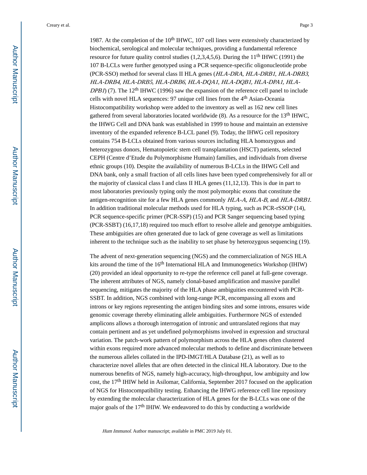Creary et al. Page 3

1987. At the completion of the  $10<sup>th</sup>$  IHWC, 107 cell lines were extensively characterized by biochemical, serological and molecular techniques, providing a fundamental reference resource for future quality control studies  $(1,2,3,4,5,6)$ . During the 11<sup>th</sup> IHWC (1991) the 107 B-LCLs were further genotyped using a PCR sequence-specific oligonucleotide probe (PCR-SSO) method for several class II HLA genes (HLA-DRA, HLA-DRB1, HLA-DRB3, HLA-DRB4, HLA-DRB5, HLA-DRB6, HLA-DQA1, HLA-DQB1, HLA-DPA1, HLA-DPB1) (7). The 12<sup>th</sup> IHWC (1996) saw the expansion of the reference cell panel to include cells with novel HLA sequences: 97 unique cell lines from the 4th Asian-Oceania Histocompatibility workshop were added to the inventory as well as 162 new cell lines gathered from several laboratories located worldwide  $(8)$ . As a resource for the 13<sup>th</sup> IHWC, the IHWG Cell and DNA bank was established in 1999 to house and maintain an extensive inventory of the expanded reference B-LCL panel (9). Today, the IHWG cell repository contains 754 B-LCLs obtained from various sources including HLA homozygous and heterozygous donors, Hematopoietic stem cell transplantation (HSCT) patients, selected CEPH (Centre d'Etude du Polymorphisme Humain) families, and individuals from diverse ethnic groups (10). Despite the availability of numerous B-LCLs in the IHWG Cell and DNA bank, only a small fraction of all cells lines have been typed comprehensively for all or the majority of classical class I and class II HLA genes (11,12,13). This is due in part to most laboratories previously typing only the most polymorphic exons that constitute the antigen-recognition site for a few HLA genes commonly HLA-A, HLA-B, and HLA-DRB1. In addition traditional molecular methods used for HLA typing, such as PCR-rSSOP (14), PCR sequence-specific primer (PCR-SSP) (15) and PCR Sanger sequencing based typing (PCR-SSBT) (16,17,18) required too much effort to resolve allele and genotype ambiguities. These ambiguities are often generated due to lack of gene coverage as well as limitations inherent to the technique such as the inability to set phase by heterozygous sequencing (19).

The advent of next-generation sequencing (NGS) and the commercialization of NGS HLA kits around the time of the  $16<sup>th</sup>$  International HLA and Immunogenetics Workshop (IHIW) (20) provided an ideal opportunity to re-type the reference cell panel at full-gene coverage. The inherent attributes of NGS, namely clonal-based amplification and massive parallel sequencing, mitigates the majority of the HLA phase ambiguities encountered with PCR-SSBT. In addition, NGS combined with long-range PCR, encompassing all exons and introns or key regions representing the antigen binding sites and some introns, ensures wide genomic coverage thereby eliminating allele ambiguities. Furthermore NGS of extended amplicons allows a thorough interrogation of intronic and untranslated regions that may contain pertinent and as yet undefined polymorphisms involved in expression and structural variation. The patch-work pattern of polymorphism across the HLA genes often clustered within exons required more advanced molecular methods to define and discriminate between the numerous alleles collated in the IPD-IMGT/HLA Database (21), as well as to characterize novel alleles that are often detected in the clinical HLA laboratory. Due to the numerous benefits of NGS, namely high-accuracy, high-throughput, low ambiguity and low cost, the 17th IHIW held in Asilomar, California, September 2017 focused on the application of NGS for Histocompatibility testing. Enhancing the IHWG reference cell line repository by extending the molecular characterization of HLA genes for the B-LCLs was one of the major goals of the 17th IHIW. We endeavored to do this by conducting a worldwide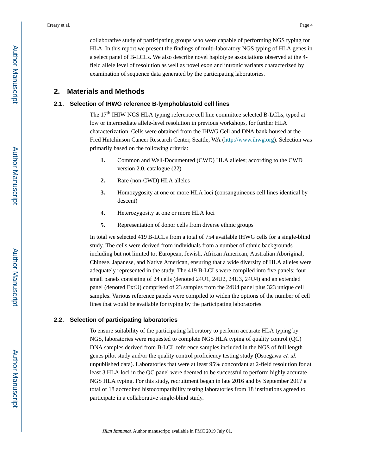collaborative study of participating groups who were capable of performing NGS typing for HLA. In this report we present the findings of multi-laboratory NGS typing of HLA genes in a select panel of B-LCLs. We also describe novel haplotype associations observed at the 4 field allele level of resolution as well as novel exon and intronic variants characterized by examination of sequence data generated by the participating laboratories.

#### **2. Materials and Methods**

#### **2.1. Selection of IHWG reference B-lymphoblastoid cell lines**

The 17<sup>th</sup> IHIW NGS HLA typing reference cell line committee selected B-LCLs, typed at low or intermediate allele-level resolution in previous workshops, for further HLA characterization. Cells were obtained from the IHWG Cell and DNA bank housed at the Fred Hutchinson Cancer Research Center, Seattle, WA [\(http://www.ihwg.org](http://www.ihwg.org)). Selection was primarily based on the following criteria:

- **1.** Common and Well-Documented (CWD) HLA alleles; according to the CWD version 2.0. catalogue (22)
- **2.** Rare (non-CWD) HLA alleles
- **3.** Homozygosity at one or more HLA loci (consanguineous cell lines identical by descent)
- **4.** Heterozygosity at one or more HLA loci
- **5.** Representation of donor cells from diverse ethnic groups

In total we selected 419 B-LCLs from a total of 754 available IHWG cells for a single-blind study. The cells were derived from individuals from a number of ethnic backgrounds including but not limited to; European, Jewish, African American, Australian Aboriginal, Chinese, Japanese, and Native American, ensuring that a wide diversity of HLA alleles were adequately represented in the study. The 419 B-LCLs were compiled into five panels; four small panels consisting of 24 cells (denoted 24U1, 24U2, 24U3, 24U4) and an extended panel (denoted ExtU) comprised of 23 samples from the 24U4 panel plus 323 unique cell samples. Various reference panels were compiled to widen the options of the number of cell lines that would be available for typing by the participating laboratories.

#### **2.2. Selection of participating laboratories**

To ensure suitability of the participating laboratory to perform accurate HLA typing by NGS, laboratories were requested to complete NGS HLA typing of quality control (QC) DNA samples derived from B-LCL reference samples included in the NGS of full length genes pilot study and/or the quality control proficiency testing study (Osoegawa et. al. unpublished data). Laboratories that were at least 95% concordant at 2-field resolution for at least 3 HLA loci in the QC panel were deemed to be successful to perform highly accurate NGS HLA typing. For this study, recruitment began in late 2016 and by September 2017 a total of 18 accredited histocompatibility testing laboratories from 18 institutions agreed to participate in a collaborative single-blind study.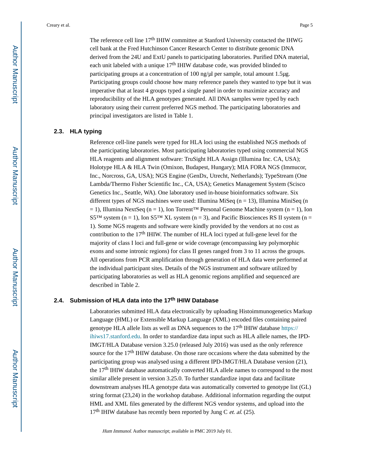The reference cell line 17<sup>th</sup> IHIW committee at Stanford University contacted the IHWG cell bank at the Fred Hutchinson Cancer Research Center to distribute genomic DNA derived from the 24U and ExtU panels to participating laboratories. Purified DNA material, each unit labeled with a unique  $17<sup>th</sup>$  IHIW database code, was provided blinded to participating groups at a concentration of 100 ng/μl per sample, total amount 1.5μg. Participating groups could choose how many reference panels they wanted to type but it was imperative that at least 4 groups typed a single panel in order to maximize accuracy and reproducibility of the HLA genotypes generated. All DNA samples were typed by each laboratory using their current preferred NGS method. The participating laboratories and principal investigators are listed in Table 1.

#### **2.3. HLA typing**

Reference cell-line panels were typed for HLA loci using the established NGS methods of the participating laboratories. Most participating laboratories typed using commercial NGS HLA reagents and alignment software: TruSight HLA Assign (Illumina Inc. CA, USA); Holotype HLA & HLA Twin (Omixon, Budapest, Hungary); MIA FORA NGS (Immucor, Inc., Norcross, GA, USA); NGS Engine (GenDx, Utrecht, Netherlands); TypeStream (One Lambda/Thermo Fisher Scientific Inc., CA, USA); Genetics Management System (Scisco Genetics Inc., Seattle, WA). One laboratory used in-house bioinformatics software. Six different types of NGS machines were used: Illumina MiSeq ( $n = 13$ ), Illumina MiniSeq ( $n$ )  $= 1$ ), Illumina NextSeq (n = 1), Ion Torrent™ Personal Genome Machine system (n = 1), Ion S5<sup>TM</sup> system (n = 1), Ion S5<sup>TM</sup> XL system (n = 3), and Pacific Biosciences RS II system (n = 1). Some NGS reagents and software were kindly provided by the vendors at no cost as contribution to the 17th IHIW. The number of HLA loci typed at full-gene level for the majority of class I loci and full-gene or wide coverage (encompassing key polymorphic exons and some intronic regions) for class II genes ranged from 3 to 11 across the groups. All operations from PCR amplification through generation of HLA data were performed at the individual participant sites. Details of the NGS instrument and software utilized by participating laboratories as well as HLA genomic regions amplified and sequenced are described in Table 2.

#### **2.4. Submission of HLA data into the 17th IHIW Database**

Laboratories submitted HLA data electronically by uploading Histoimmunogenetics Markup Language (HML) or Extensible Markup Language (XML) encoded files containing paired genotype HLA allele lists as well as DNA sequences to the  $17<sup>th</sup>$  IHIW database [https://](https://ihiws17.stanford.edu) [ihiws17.stanford.edu.](https://ihiws17.stanford.edu) In order to standardize data input such as HLA allele names, the IPD-IMGT/HLA Database version 3.25.0 (released July 2016) was used as the only reference source for the  $17<sup>th</sup>$  IHIW database. On those rare occasions where the data submitted by the participating group was analysed using a different IPD-IMGT/HLA Database version (21), the 17th IHIW database automatically converted HLA allele names to correspond to the most similar allele present in version 3.25.0. To further standardize input data and facilitate downstream analyses HLA genotype data was automatically converted to genotype list (GL) string format (23,24) in the workshop database. Additional information regarding the output HML and XML files generated by the different NGS vendor systems, and upload into the  $17<sup>th</sup>$  IHIW database has recently been reported by Jung C *et. al.* (25).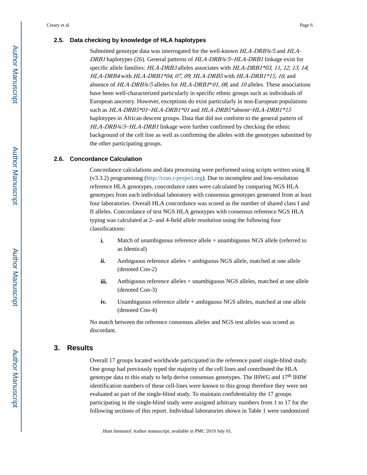#### **2.5. Data checking by knowledge of HLA haplotypes**

Submitted genotype data was interrogated for the well-known HLA-DRB $\frac{34}{5}$  and HLA-DRB1 haplotypes (26). General patterns of HLA-DRB34/5~HLA-DRB1 linkage exist for specific allele families: HLA-DRB3 alleles associates with HLA-DRB1\*03, 11, 12, 13, 14; HLA-DRB4 with HLA-DRB1\*04, 07, 09, HLA-DRB5 with HLA-DRB1\*15, 16; and absence of  $HLA-DRB\frac{3}{4}/5$  alleles for  $HLA-DRB\frac{1}{6}$  01, 08, and 10 alleles. These associations have been well-characterized particularly in specific ethnic groups such as individuals of European ancestry. However, exceptions do exist particularly in non-European populations such as HLA-DRB5\*01~HLA-DRB1\*01 and HLA-DRB5\*absent~HLA-DRB1\*15 haplotypes in African descent groups. Data that did not conform to the general pattern of HLA-DRB¾/5~HLA-DRB1 linkage were further confirmed by checking the ethnic background of the cell line as well as confirming the alleles with the genotypes submitted by the other participating groups.

#### **2.6. Concordance Calculation**

Concordance calculations and data processing were performed using scripts written using R (v3.3.2) programming [\(http://cran.r-project.org\)](http://cran.r-project.org). Due to incomplete and low-resolution reference HLA genotypes, concordance rates were calculated by comparing NGS HLA genotypes from each individual laboratory with consensus genotypes generated from at least four laboratories. Overall HLA concordance was scored as the number of shared class I and II alleles. Concordance of test NGS HLA genotypes with consensus reference NGS HLA typing was calculated at 2- and 4-field allele resolution using the following four classifications:

- **i.** Match of unambiguous reference allele + unambiguous NGS allele (referred to as Identical)
- **ii.** Ambiguous reference alleles + ambiguous NGS allele, matched at one allele (denoted Con-2)
- **iii.** Ambiguous reference alleles + unambiguous NGS alleles, matched at one allele (denoted Con-3)
- **iv.** Unambiguous reference allele + ambiguous NGS alleles, matched at one allele (denoted Con-4)

No match between the reference consensus alleles and NGS test alleles was scored as discordant.

#### **3. Results**

Overall 17 groups located worldwide participated in the reference panel single-blind study. One group had previously typed the majority of the cell lines and contributed the HLA genotype data to this study to help derive consensus genotypes. The IHWG and  $17<sup>th</sup>$  IHIW identification numbers of these cell-lines were known to this group therefore they were not evaluated as part of the single-blind study. To maintain confidentiality the 17 groups participating in the single-blind study were assigned arbitrary numbers from 1 to 17 for the following sections of this report. Individual laboratories shown in Table 1 were randomized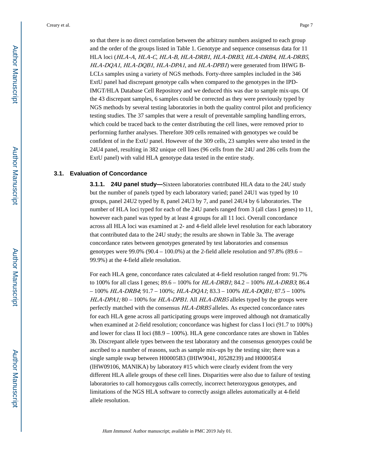so that there is no direct correlation between the arbitrary numbers assigned to each group and the order of the groups listed in Table 1. Genotype and sequence consensus data for 11 HLA loci (HLA-A, HLA-C, HLA-B, HLA-DRB1, HLA-DRB3, HLA-DRB4, HLA-DRB5, HLA-DQA1, HLA-DQB1, HLA-DPA1, and HLA-DPB1) were generated from IHWG B-LCLs samples using a variety of NGS methods. Forty-three samples included in the 346 ExtU panel had discrepant genotype calls when compared to the genotypes in the IPD-IMGT/HLA Database Cell Repository and we deduced this was due to sample mix-ups. Of the 43 discrepant samples, 6 samples could be corrected as they were previously typed by NGS methods by several testing laboratories in both the quality control pilot and proficiency testing studies. The 37 samples that were a result of preventable sampling handling errors, which could be traced back to the center distributing the cell lines, were removed prior to performing further analyses. Therefore 309 cells remained with genotypes we could be confident of in the ExtU panel. However of the 309 cells, 23 samples were also tested in the 24U4 panel, resulting in 382 unique cell lines (96 cells from the 24U and 286 cells from the ExtU panel) with valid HLA genotype data tested in the entire study.

#### **3.1. Evaluation of Concordance**

**3.1.1. 24U panel study—**Sixteen laboratories contributed HLA data to the 24U study but the number of panels typed by each laboratory varied; panel 24U1 was typed by 10 groups, panel 24U2 typed by 8, panel 24U3 by 7, and panel 24U4 by 6 laboratories. The number of HLA loci typed for each of the 24U panels ranged from 3 (all class I genes) to 11, however each panel was typed by at least 4 groups for all 11 loci. Overall concordance across all HLA loci was examined at 2- and 4-field allele level resolution for each laboratory that contributed data to the 24U study; the results are shown in Table 3a. The average concordance rates between genotypes generated by test laboratories and consensus genotypes were  $99.0\%$  ( $90.4 - 100.0\%$ ) at the 2-field allele resolution and  $97.8\%$  ( $89.6 -$ 99.9%) at the 4-field allele resolution.

For each HLA gene, concordance rates calculated at 4-field resolution ranged from: 91.7% to 100% for all class I genes; 89.6 – 100% for HLA-DRB1; 84.2 – 100% HLA-DRB3; 86.4  $-100\%$  HLA-DRB4; 91.7 – 100%; HLA-DQA1; 83.3 – 100% HLA-DQB1; 87.5 – 100%  $HLA-DPA1$ ; 80 – 100% for  $HLA-DPB1$ . All  $HLA-DRB5$  alleles typed by the groups were perfectly matched with the consensus HLA-DRB5 alleles. As expected concordance rates for each HLA gene across all participating groups were improved although not dramatically when examined at 2-field resolution; concordance was highest for class I loci (91.7 to 100%) and lower for class II loci (88.9 – 100%). HLA gene concordance rates are shown in Tables 3b. Discrepant allele types between the test laboratory and the consensus genotypes could be ascribed to a number of reasons, such as sample mix-ups by the testing site; there was a single sample swap between H00005B3 (IHIW9041, J0528239) and H00005E4 (IHW09106, MANIKA) by laboratory #15 which were clearly evident from the very different HLA allele groups of these cell lines. Disparities were also due to failure of testing laboratories to call homozygous calls correctly, incorrect heterozygous genotypes, and limitations of the NGS HLA software to correctly assign alleles automatically at 4-field allele resolution.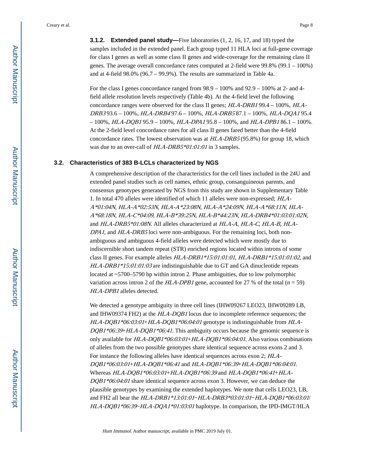**3.1.2. Extended panel study—**Five laboratories (1, 2, 16, 17, and 18) typed the samples included in the extended panel. Each group typed 11 HLA loci at full-gene coverage for class I genes as well as some class II genes and wide-coverage for the remaining class II genes. The average overall concordance rates computed at 2-field were 99.8% (99.1 – 100%) and at 4-field 98.0% (96.7 – 99.9%). The results are summarized in Table 4a.

For the class I genes concordance ranged from 98.9 – 100% and 92.9 – 100% at 2- and 4 field allele resolution levels respectively (Table 4b). At the 4-field level the following concordance ranges were observed for the class II genes; HLA-DRB1 99.4 – 100%, HLA-DRB3 93.6 – 100%, HLA-DRB4 97.6 – 100%, HLA-DRB5 87.1 – 100%, HLA-DQA1 95.4  $-100\%$ , HLA-DQB1 95.9 - 100%, HLA-DPA1 95.8 - 100%, and HLA-DPB1 86.1 - 100%. At the 2-field level concordance rates for all class II genes fared better than the 4-field concordance rates. The lowest observation was at  $HLA-DRB5 (95.8%)$  for group 18, which was due to an over-call of HLA-DRB5\*01:01:01 in 3 samples.

#### **3.2. Characteristics of 383 B-LCLs characterized by NGS**

A comprehensive description of the characteristics for the cell lines included in the 24U and extended panel studies such as cell names, ethnic group, consanguineous parents, and consensus genotypes generated by NGS from this study are shown in Supplementary Table 1. In total 470 alleles were identified of which 11 alleles were non-expressed; HLA-A\*01:04N, HLA-A\*02:53N, HLA-A\*23:08N, HLA-A\*24:09N, HLA-A\*68:11N, HLA-A\*68:18N, HLA-C\*04:09, HLA-B\*39:25N, HLA-B\*44:23N, HLA-DRB4\*01:03:01:02N, and HLA-DRB5\*01:08N. All alleles characterized at HLA-A, HLA-C, HLA-B, HLA-DPA1, and HLA-DRB5 loci were non-ambiguous. For the remaining loci, both nonambiguous and ambiguous 4-field alleles were detected which were mostly due to indiscernible short tandem repeat (STR) enriched regions located within introns of some class II genes. For example alleles HLA-DRB1\*15:01:01:01, HLA-DRB1\*15:01:01:02, and  $HLA-DRBI*15:01:01:03$  are indistinguishable due to GT and GA dinucleotide repeats located at ~5700–5790 bp within intron 2. Phase ambiguities, due to low polymorphic variation across intron 2 of the  $HLA-DPB1$  gene, accounted for 27 % of the total (n = 59) HLA-DPB1 alleles detected.

We detected a genotype ambiguity in three cell lines (IHW09267 LEO23, IHW09289 LB, and IHW09374 FH2) at the HLA-DQB1 locus due to incomplete reference sequences; the HLA-DQB1\*06:03:01+HLA-DQB1\*06:04:01 genotype is indistinguishable from HLA- $DQB1*06:39+HLA-DQB1*06:41$ . This ambiguity occurs because the genomic sequence is only available for HLA-DQB1\*06:03:01+HLA-DQB1\*06:04:01. Also various combinations of alleles from the two possible genotypes share identical sequence across exons 2 and 3. For instance the following alleles have identical sequences across exon 2; HLA-DQB1\*06:03:01+HLA-DQB1\*06:41 and HLA-DQB1\*06:39+HLA-DQB1\*06:04:01. Whereas HLA-DQB1\*06:03:01+HLA-DQB1\*06:39 and HLA-DQB1\*06:41+HLA- $DQB1*06:04:01$  share identical sequence across exon 3. However, we can deduce the plausible genotypes by examining the extended haplotypes. We note that cells LEO23, LB, and FH2 all bear the HLA-DRB1\*13:01:01~HLA-DRB3\*03:01:01~HLA-DQB1\*06:03:01/ HLA-DQB1\*06:39~HLA-DQA1\*01:03:01 haplotype. In comparison, the IPD-IMGT/HLA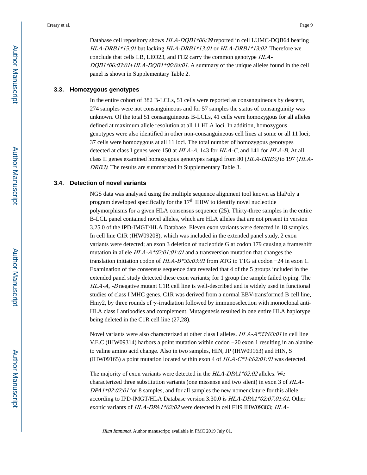Database cell repository shows HLA-DQB1\*06:39 reported in cell LUMC-DQB64 bearing HLA-DRB1\*15:01 but lacking HLA-DRB1\*13:01 or HLA-DRB1\*13:02. Therefore we conclude that cells LB, LEO23, and FH2 carry the common genotype HLA-DQB1\*06:03:01+HLA-DQB1\*06:04:01. A summary of the unique alleles found in the cell panel is shown in Supplementary Table 2.

#### **3.3. Homozygous genotypes**

In the entire cohort of 382 B-LCLs, 51 cells were reported as consanguineous by descent, 274 samples were not consanguineous and for 57 samples the status of consanguinity was unknown. Of the total 51 consanguineous B-LCLs, 41 cells were homozygous for all alleles defined at maximum allele resolution at all 11 HLA loci. In addition, homozygous genotypes were also identified in other non-consanguineous cell lines at some or all 11 loci; 37 cells were homozygous at all 11 loci. The total number of homozygous genotypes detected at class I genes were 150 at HLA-A, 143 for HLA-C, and 141 for HLA-B. At all class II genes examined homozygous genotypes ranged from 80 (HLA-DRB5) to 197 (HLA-DRB3). The results are summarized in Supplementary Table 3.

#### **3.4. Detection of novel variants**

NGS data was analysed using the multiple sequence alignment tool known as hlaPoly a program developed specifically for the  $17<sup>th</sup>$  IHIW to identify novel nucleotide polymorphisms for a given HLA consensus sequence (25). Thirty-three samples in the entire B-LCL panel contained novel alleles, which are HLA alleles that are not present in version 3.25.0 of the IPD-IMGT/HLA Database. Eleven exon variants were detected in 18 samples. In cell line C1R (IHW09208), which was included in the extended panel study, 2 exon variants were detected; an exon 3 deletion of nucleotide G at codon 179 causing a frameshift mutation in allele  $HLA-A*02:01:01:01$  and a transversion mutation that changes the translation initiation codon of HLA-B\*35:03:01 from ATG to TTG at codon −24 in exon 1. Examination of the consensus sequence data revealed that 4 of the 5 groups included in the extended panel study detected these exon variants; for 1 group the sample failed typing. The HLA-A, -B negative mutant C1R cell line is well-described and is widely used in functional studies of class I MHC genes. C1R was derived from a normal EBV-transformed B cell line, Hmy2, by three rounds of  $\gamma$ -irradiation followed by immunoselection with monoclonal anti-HLA class I antibodies and complement. Mutagenesis resulted in one entire HLA haplotype being deleted in the C1R cell line (27,28).

Novel variants were also characterized at other class I alleles. HLA-A\*33:03:01 in cell line V.E.C (IHW09314) harbors a point mutation within codon −20 exon 1 resulting in an alanine to valine amino acid change. Also in two samples, HIN, JP (IHW09163) and HIN, S (IHW09165) a point mutation located within exon 4 of  $HLA-C*14:02:01:01$  was detected.

The majority of exon variants were detected in the HLA-DPA1\*02:02 alleles. We characterized three substitution variants (one missense and two silent) in exon 3 of HLA-DPA1\*02:02:01 for 8 samples, and for all samples the new nomenclature for this allele, according to IPD-IMGT/HLA Database version 3.30.0 is HLA-DPA1\*02:07:01:01. Other exonic variants of HLA-DPA1\*02:02 were detected in cell FH9 IHW09383; HLA-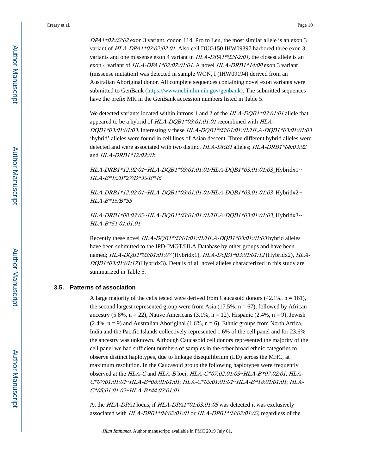DPA1\*02:02:02 exon 3 variant, codon 114, Pro to Leu, the most similar allele is an exon 3 variant of HLA-DPA1\*02:02:02:01. Also cell DUG150 IHW09397 harbored three exon 3 variants and one missense exon 4 variant in  $HLA-DPA1*02:02:01$ ; the closest allele is an exon 4 variant of HLA-DPA1\*02:07:01:01. A novel HLA-DRB1\*14:08 exon 3 variant (missense mutation) was detected in sample WON, I (IHW09194) derived from an Australian Aboriginal donor. All complete sequences containing novel exon variants were submitted to GenBank ([https://www.ncbi.nlm.nih.gov/genbank\)](https://www.ncbi.nlm.nih.gov/genbank). The submitted sequences have the prefix MK in the GenBank accession numbers listed in Table 5.

We detected variants located within introns 1 and 2 of the  $HLA-DQBI*03:01:01$  allele that appeared to be a hybrid of HLA-DQB1\*03:01:01:01 recombined with HLA-DQB1\*03:01:01:03. Interestingly these HLA-DQB1\*03:01:01:01/HLA-DQB1\*03:01:01:03 'hybrid' alleles were found in cell lines of Asian descent. Three different hybrid alleles were detected and were associated with two distinct HLA-DRB1 alleles; HLA-DRB1\*08:03:02 and HLA-DRB1\*12:02:01:

HLA-DRB1\*12:02:01~HLA-DQB1\*03:01:01:01/HLA-DQB1\*03:01:01:03\_Hybridx1~ HLA-B\*15/B\*27/B\*35/B\*46

HLA-DRB1\*12:02:01~HLA-DQB1\*03:01:01:01/HLA-DQB1\*03:01:01:03\_Hybridx2~ HLA-B\*15/B\*55

HLA-DRB1\*08:03:02~HLA-DQB1\*03:01:01:01/HLA-DQB1\*03:01:01:03 Hybridx3~ HLA-B\*51:01:01:01

Recently these novel HLA-DQB1\*03:01:01:01/HLA-DQB1\*03:01:01:03 hybrid alleles have been submitted to the IPD-IMGT/HLA Database by other groups and have been named; HLA-DQB1\*03:01:01:07 (Hybridx1), HLA-DQB1\*03:01:01:12 (Hybridx2), HLA-DQB1\*03:01:01:17 (Hybridx3). Details of all novel alleles characterized in this study are summarized in Table 5.

#### **3.5. Patterns of association**

A large majority of the cells tested were derived from Caucasoid donors  $(42.1\%, n = 161)$ , the second largest represented group were from Asia  $(17.5\%, n = 67)$ , followed by African ancestry  $(5.8\%, n = 22)$ , Native Americans  $(3.1\%, n = 12)$ , Hispanic  $(2.4\%, n = 9)$ , Jewish  $(2.4\%, n = 9)$  and Australian Aboriginal  $(1.6\%, n = 6)$ . Ethnic groups from North Africa, India and the Pacific Islands collectively represented 1.6% of the cell panel and for 23.6% the ancestry was unknown. Although Caucasoid cell donors represented the majority of the cell panel we had sufficient numbers of samples in the other broad ethnic categories to observe distinct haplotypes, due to linkage disequilibrium (LD) across the MHC, at maximum resolution. In the Caucasoid group the following haplotypes were frequently observed at the HLA-C and HLA-B loci; HLA-C\*07:02:01:03~HLA-B\*07:02:01, HLA-C\*07:01:01:01~HLA-B\*08:01:01:01; HLA-C\*05:01:01:01~HLA-B\*18:01:01:01; HLA-C\*05:01:01:02~HLA-B\*44:02:01:01

At the HLA-DPA1 locus, if HLA-DPA1\*01:03:01:05 was detected it was exclusively associated with  $HLA\text{-}DPB1*04:02:01:01$  or  $HLA\text{-}DPB1*04:02:01:02$ , regardless of the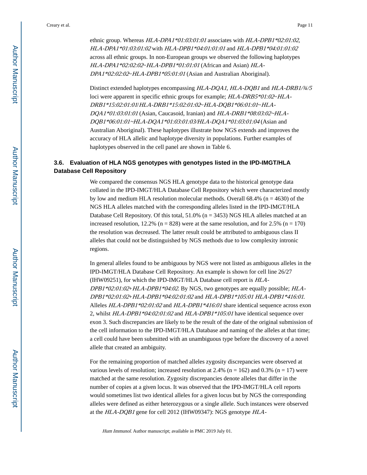ethnic group. Whereas HLA-DPA1\*01:03:01:01 associates with HLA-DPB1\*02:01:02, HLA-DPA1\*01:03:01:02 with HLA-DPB1\*04:01:01:01 and HLA-DPB1\*04:01:01:02 across all ethnic groups. In non-European groups we observed the following haplotypes HLA-DPA1\*02:02:02~HLA-DPB1\*01:01:01 (African and Asian) HLA-DPA1\*02:02:02~HLA-DPB1\*05:01:01 (Asian and Australian Aboriginal).

Distinct extended haplotypes encompassing HLA-DQA1, HLA-DQB1 and HLA-DRB1/¾/5 loci were apparent in specific ethnic groups for example;  $HLA-DRB5*01:02~HLA-$ DRB1\*15:02:01:01/HLA-DRB1\*15:02:01:02~HLA-DQB1\*06:01:01~HLA-DQA1\*01:03:01:01 (Asian, Caucasoid, Iranian) and HLA-DRB1\*08:03:02~HLA-DQB1\*06:01:01~HLA-DQA1\*01:03:01:03/HLA-DQA1\*01:03:01:04 (Asian and Australian Aboriginal). These haplotypes illustrate how NGS extends and improves the accuracy of HLA allelic and haplotype diversity in populations. Further examples of haplotypes observed in the cell panel are shown in Table 6.

#### **3.6. Evaluation of HLA NGS genotypes with genotypes listed in the IPD-IMGT/HLA Database Cell Repository**

We compared the consensus NGS HLA genotype data to the historical genotype data collated in the IPD-IMGT/HLA Database Cell Repository which were characterized mostly by low and medium HLA resolution molecular methods. Overall  $68.4\%$  (n = 4630) of the NGS HLA alleles matched with the corresponding alleles listed in the IPD-IMGT/HLA Database Cell Repository. Of this total, 51.0% (n = 3453) NGS HLA alleles matched at an increased resolution, 12.2% ( $n = 828$ ) were at the same resolution, and for 2.5% ( $n = 170$ ) the resolution was decreased. The latter result could be attributed to ambiguous class II alleles that could not be distinguished by NGS methods due to low complexity intronic regions.

In general alleles found to be ambiguous by NGS were not listed as ambiguous alleles in the IPD-IMGT/HLA Database Cell Repository. An example is shown for cell line 26/27 (IHW09251), for which the IPD-IMGT/HLA Database cell report is HLA-DPB1\*02:01:02+HLA-DPB1\*04:02. By NGS, two genotypes are equally possible; HLA-DPB1\*02:01:02+HLA-DPB1\*04:02:01:02 and HLA-DPB1\*105:01 HLA-DPB1\*416:01. Alleles HLA-DPB1\*02:01:02 and HLA-DPB1\*416:01 share identical sequence across exon 2, whilst HLA-DPB1\*04:02:01:02 and HLA-DPB1\*105:01 have identical sequence over exon 3. Such discrepancies are likely to be the result of the date of the original submission of the cell information to the IPD-IMGT/HLA Database and naming of the alleles at that time; a cell could have been submitted with an unambiguous type before the discovery of a novel allele that created an ambiguity.

For the remaining proportion of matched alleles zygosity discrepancies were observed at various levels of resolution; increased resolution at 2.4% ( $n = 162$ ) and 0.3% ( $n = 17$ ) were matched at the same resolution. Zygosity discrepancies denote alleles that differ in the number of copies at a given locus. It was observed that the IPD-IMGT/HLA cell reports would sometimes list two identical alleles for a given locus but by NGS the corresponding alleles were defined as either heterozygous or a single allele. Such instances were observed at the HLA-DQB1 gene for cell 2012 (IHW09347): NGS genotype HLA-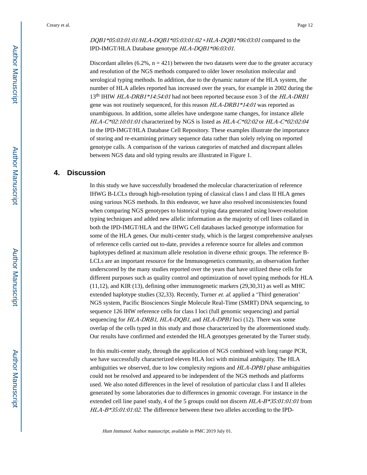Creary et al. Page 12

DQB1\*05:03:01:01/HLA-DQB1\*05:03:01:02 + HLA-DQB1\*06:03:01 compared to the IPD-IMGT/HLA Database genotype HLA-DQB1\*06:03:01.

Discordant alleles  $(6.2\%, n = 421)$  between the two datasets were due to the greater accuracy and resolution of the NGS methods compared to older lower resolution molecular and serological typing methods. In addition, due to the dynamic nature of the HLA system, the number of HLA alleles reported has increased over the years, for example in 2002 during the 13<sup>th</sup> IHIW HLA-DRB1\*14:54:01 had not been reported because exon 3 of the HLA-DRB1 gene was not routinely sequenced, for this reason HLA-DRB1\*14:01 was reported as unambiguous. In addition, some alleles have undergone name changes, for instance allele HLA-C\*02:10:01:01 characterized by NGS is listed as HLA-C\*02:02 or HLA-C\*02:02:04 in the IPD-IMGT/HLA Database Cell Repository. These examples illustrate the importance of storing and re-examining primary sequence data rather than solely relying on reported genotype calls. A comparison of the various categories of matched and discrepant alleles between NGS data and old typing results are illustrated in Figure 1.

#### **4. Discussion**

In this study we have successfully broadened the molecular characterization of reference IHWG B-LCLs through high-resolution typing of classical class I and class II HLA genes using various NGS methods. In this endeavor, we have also resolved inconsistencies found when comparing NGS genotypes to historical typing data generated using lower-resolution typing techniques and added new allelic information as the majority of cell lines collated in both the IPD-IMGT/HLA and the IHWG Cell databases lacked genotype information for some of the HLA genes. Our multi-center study, which is the largest comprehensive analyses of reference cells carried out to-date, provides a reference source for alleles and common haplotypes defined at maximum allele resolution in diverse ethnic groups. The reference B-LCLs are an important resource for the Immunogenetics community, an observation further underscored by the many studies reported over the years that have utilized these cells for different purposes such as quality control and optimization of novel typing methods for HLA (11,12), and KIR (13), defining other immunogenetic markers (29,30,31) as well as MHC extended haplotype studies (32,33). Recently, Turner *et. al.* applied a 'Third generation' NGS system, Pacific Biosciences Single Molecule Real-Time (SMRT) DNA sequencing, to sequence 126 IHW reference cells for class I loci (full genomic sequencing) and partial sequencing for HLA-DRB1, HLA-DQB1, and HLA-DPB1 loci (12). There was some overlap of the cells typed in this study and those characterized by the aforementioned study. Our results have confirmed and extended the HLA genotypes generated by the Turner study.

In this multi-center study, through the application of NGS combined with long range PCR, we have successfully characterized eleven HLA loci with minimal ambiguity. The HLA ambiguities we observed, due to low complexity regions and HLA-DPB1 phase ambiguities could not be resolved and appeared to be independent of the NGS methods and platforms used. We also noted differences in the level of resolution of particular class I and II alleles generated by some laboratories due to differences in genomic coverage. For instance in the extended cell line panel study, 4 of the 5 groups could not discern  $HLA-B*35:01:01:01$  from  $HLA-B*35:01:01:02$ . The difference between these two alleles according to the IPD-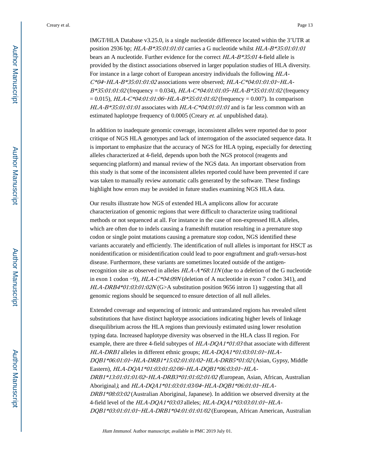Creary et al. Page 13

IMGT/HLA Database v3.25.0, is a single nucleotide difference located within the 3'UTR at position 2936 bp; HLA-B\*35:01:01:01 carries a G nucleotide whilst HLA-B\*35:01:01:01 bears an A nucleotide. Further evidence for the correct HLA-B\*35:01 4-field allele is provided by the distinct associations observed in larger population studies of HLA diversity. For instance in a large cohort of European ancestry individuals the following HLA- $C^*04~HLA-B*35:01:01:02$  associations were observed;  $HLA-C*04:01:01·01~MLA B*35:01:01:02$  (frequency = 0.034), HLA-C\*04:01:01:05~HLA-B\*35:01:01:02 (frequency  $= 0.015$ ), HLA-C\*04:01:01:06~HLA-B\*35:01:01:02 (frequency = 0.007). In comparison  $HLA-B*35:01:01:01$  associates with  $HLA-C*04:01:01:01$  and is far less common with an estimated haplotype frequency of 0.0005 (Creary *et. al.* unpublished data).

In addition to inadequate genomic coverage, inconsistent alleles were reported due to poor critique of NGS HLA genotypes and lack of interrogation of the associated sequence data. It is important to emphasize that the accuracy of NGS for HLA typing, especially for detecting alleles characterized at 4-field, depends upon both the NGS protocol (reagents and sequencing platform) and manual review of the NGS data. An important observation from this study is that some of the inconsistent alleles reported could have been prevented if care was taken to manually review automatic calls generated by the software. These findings highlight how errors may be avoided in future studies examining NGS HLA data.

Our results illustrate how NGS of extended HLA amplicons allow for accurate characterization of genomic regions that were difficult to characterize using traditional methods or not sequenced at all. For instance in the case of non-expressed HLA alleles, which are often due to indels causing a frameshift mutation resulting in a premature stop codon or single point mutations causing a premature stop codon, NGS identified these variants accurately and efficiently. The identification of null alleles is important for HSCT as nonidentification or misidentification could lead to poor engraftment and graft-versus-host disease. Furthermore, these variants are sometimes located outside of the antigenrecognition site as observed in alleles HLA-A\*68:11N (due to a deletion of the G nucleotide in exon 1 codon −9), HLA-C\*04:09N (deletion of A nucleotide in exon 7 codon 341), and  $HLA-DRB4*01:03:01:02N(G>A)$  substitution position 9656 intron 1) suggesting that all genomic regions should be sequenced to ensure detection of all null alleles.

Extended coverage and sequencing of intronic and untranslated regions has revealed silent substitutions that have distinct haplotype associations indicating higher levels of linkage disequilibrium across the HLA regions than previously estimated using lower resolution typing data. Increased haplotype diversity was observed in the HLA class II region. For example, there are three 4-field subtypes of  $HLA-DQAI*01:03$  that associate with different HLA-DRB1 alleles in different ethnic groups; HLA-DQA1\*01:03:01:01~HLA-DQB1\*06:01:01~HLA-DRB1\*15:02:01:01/02~HLA-DRB5\*01:02 (Asian, Gypsy, Middle Eastern), HLA-DQA1\*01:03:01:02/06~HLA-DQB1\*06:03:01~HLA-DRB1\*13:01:01:01/02~HLA-DRB3\*01:01:02:01/02 (European, Asian, African, Australian Aboriginal), and HLA-DQA1\*01:03:01:03/04~HLA-DQB1\*06:01:01~HLA-DRB1\*08:03:02 (Australian Aboriginal, Japanese). In addition we observed diversity at the 4-field level of the HLA-DQA1\*03:03 alleles; HLA-DQA1\*03:03:01:01~HLA-DQB1\*03:01:01:01~HLA-DRB1\*04:01:01:01/02 (European, African American, Australian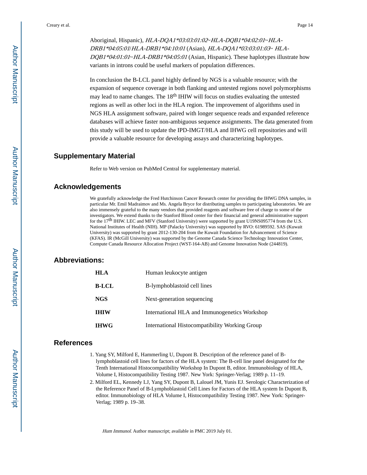Aboriginal, Hispanic), HLA-DQA1\*03:03:01:02~HLA-DQB1\*04:02:01~HLA-DRB1\*04:05:01/HLA-DRB1\*04:10:01 (Asian), HLA-DQA1\*03:03:01:03~ HLA- $DQBI*04:01:01-HLA-DRB1*04:05:01$  (Asian, Hispanic). These haplotypes illustrate how variants in introns could be useful markers of population differences.

In conclusion the B-LCL panel highly defined by NGS is a valuable resource; with the expansion of sequence coverage in both flanking and untested regions novel polymorphisms may lead to name changes. The 18th IHIW will focus on studies evaluating the untested regions as well as other loci in the HLA region. The improvement of algorithms used in NGS HLA assignment software, paired with longer sequence reads and expanded reference databases will achieve faster non-ambiguous sequence assignments. The data generated from this study will be used to update the IPD-IMGT/HLA and IHWG cell repositories and will provide a valuable resource for developing assays and characterizing haplotypes.

#### **Supplementary Material**

Refer to Web version on PubMed Central for supplementary material.

#### **Acknowledgements**

We gratefully acknowledge the Fred Hutchinson Cancer Research center for providing the IHWG DNA samples, in particular Mr. Emil Madraimov and Ms. Angela Bryce for distributing samples to participating laboratories. We are also immensely grateful to the many vendors that provided reagents and software free of charge to some of the investigators. We extend thanks to the Stanford Blood center for their financial and general administrative support for the 17<sup>th</sup> IHIW. LEC and MFV (Stanford University) were supported by grant U19NS095774 from the U.S. National Institutes of Health (NIH). MP (Palacky University) was supported by RVO: 61989592. SAS (Kuwait University) was supported by grant 2012-130-204 from the Kuwait Foundation for Advancement of Science (KFAS). IR (McGill University) was supported by the Genome Canada Science Technology Innovation Center, Compute Canada Resource Allocation Project (WST-164-AB) and Genome Innovation Node (244819).

#### **Abbreviations:**

| HLA   | Human leukocyte antigen                        |
|-------|------------------------------------------------|
| B-LCL | B-lymphoblastoid cell lines                    |
| NGS   | Next-generation sequencing                     |
| IHIW  | International HLA and Immunogenetics Workshop  |
| IHWG  | International Histocompatibility Working Group |

#### **References**

- 1. Yang SY, Milford E, Hammerling U, Dupont B. Description of the reference panel of Blymphoblastoid cell lines for factors of the HLA system: The B-cell line panel designated for the Tenth International Histocompatibility Workshop In Dupont B, editor. Immunobiology of HLA, Volume I, Histocompatibility Testing 1987. New York: Springer-Verlag; 1989 p. 11–19.
- 2. Milford EL, Kennedy LJ, Yang SY, Dupont B, Lalouel JM, Yunis EJ. Serologic Characterization of the Reference Panel of B-Lymphoblastoid Cell Lines for Factors of the HLA system In Dupont B, editor. Immunobiology of HLA Volume I, Histocompatibility Testing 1987. New York: Springer-Verlag; 1989 p. 19–38.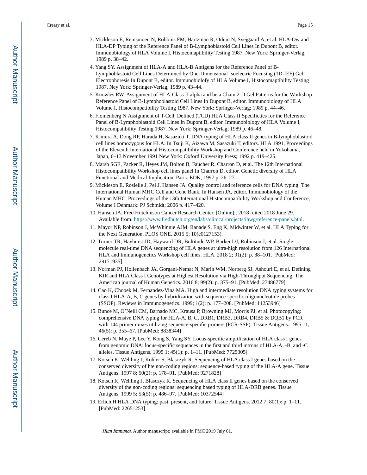- 3. Mickleson E, Reinsmoen N, Robbins FM, Hartzman R, Odum N, Svejgaard A, et al. HLA-Dw and HLA-DP Typing of the Reference Panel of B-Lymphoblastoid Cell Lines In Dupont B, editor. Immunobiology of HLA Volume I, Histocomaptibility Testing 1987. New York: Springer-Verlag; 1989 p. 38–42.
- 4. Yang SY. Assignment of HLA-A and HLA-B Antigens for the Reference Panel of B-Lymphoblastoid Cell Lines Determined by One-Dimensional Isoelectric Focusing (1D-IEF) Gel Electrophoresis In Dupont B, editor. Immunobiolofy of HLA Volume I, Histocomaptibility Testing 1987. Ney York: Springer-Verlag; 1989 p. 43–44.
- 5. Knowles RW. Assignment of HLA-Class II alpha and beta Chain 2-D Gel Patterns for the Workshop Reference Panel of B-Lymphoblastoid Cell Lines In Dupont B, editor. Immunobiology of HLA Volume I, Histocompatibility Testing 1987. New York: Springer-Verlag; 1989 p. 44–46.
- 6. Flomenberg N Assignment of T-Cell\_Defined (TCD) HLA Class II Specificties for the Reference Panel of B-Lymphoblastoid Cell Lines In Dupont B, editor. Immunobiology of HLA Volume I, Histocompatibility Testing 1987. New York: Springer-Verlag; 1989 p. 46–48.
- 7. Kimura A, Dong RP, Harada H, Sasazuki T. DNA typing of HLA class II genes in B-lymphoblastoid cell lines homozygous for HLA. In Tsuji K, Aizawa M, Sasazuki T, editors. HLA 1991, Proceedings of the Eleventh International Histocompatibility Workshop and Conference held in Yokohama, Japan, 6–13 November 1991 New York: Oxford University Press; 1992 p. 419–425.
- 8. Marsh SGE, Packer R, Heyes JM, Bolton B, Faucher R, Charron D, et al. The 12th International Histocompatibility Workshop cell lines panel In Charron D, editor. Genetic diversity of HLA Functional and Medical Implication. Paris: EDK; 1997 p. 26–27.
- 9. Mickleson E, Rosielle J, Pei J, Hansen JA. Quality control and reference cells for DNA typing: The International Human MHC Cell and Gene Bank. In Hansen JA, editor. Immunobiology of the Human MHC, Proceedings of the 13th International Histocompatibility Workshop and Conference, Volume I Denmark: PJ Schmidt; 2006 p. 417–420.
- 10. Hansen JA. Fred Hutchinson Cancer Research Center. [Online].; 2018 [cited 2018 June 29. Available from: <https://www.fredhutch.org/en/labs/clinical/projects/ihwg/reference-panels.htnl>.
- 11. Mayor NP, Robinson J, McWhinnie AJM, Ranade S, Eng K, Midwinter W, et al. HLA Typing for the Next Generation. PLOS ONE. 2015 5; 10(e0127153).
- 12. Turner TR, Hayhurst JD, Hayward DR, Bultitude WP, Barker DJ, Robinson J, et al. Single molecule real-time DNA sequencing of HLA genes at ultra-high resolution from 126 International HLA and Immunogenetics Workshop cell lines. HLA. 2018 2; 91(2): p. 88–101. [PubMed: 29171935]
- 13. Norman PJ, Hollenbach JA, Gorgani-Nemat N, Marin WM, Norberg SJ, Ashouri E, et al. Defining KIR and HLA Class I Genotypes at Highest Resolution via High-Throughput Sequencing. The American journal of Human Genetics. 2016 8; 99(2): p. 375–91. [PubMed: 27486779]
- 14. Cao K, Chopek M, Fernandez-Vina MA. High and intermediate resolution DNA typing systems for class I HLA-A, B, C genes by hybridization with sequence-specific oligonucleotide probes (SSOP). Reviews in Immunogenetics. 1999; 1(2): p. 177–208. [PubMed: 11253946]
- 15. Bunce M, O'Neill CM, Barnado MC, Krausa P, Browning MJ, Morris PJ, et al. Photocopying: comprehensive DNA typing for HLA-A, B, C, DRB1, DRB3, DRB4, DRB5 & DQB1 by PCR with 144 primer mixes utilizing sequence-specific primers (PCR-SSP). Tissue Antigens. 1995 11; 46(5): p. 355–67. [PubMed: 8838344]
- 16. Cereb N, Maye P, Lee Y, Kong S, Yang SY. Locus-specific amplification of HLA class I genes from genomic DNA: locus-specific sequences in the first and third introns of HLA-A, -B, and -C alleles. Tissue Antigens. 1995 1; 45(1): p. 1–11. [PubMed: 7725305]
- 17. Kotsch K, Wehling J, Kohler S, Blasczyk R. Sequencing of HLA class I genes based on the conserved diversity of hte non-coding regions: sequence-based typing of the HLA-A gene. Tissue Antigens. 1997 8; 50(2): p. 178–91. [PubMed: 9271828]
- 18. Kotsch K, Wehling J, Blasczyk R. Sequencing of HLA class II genes based on the conserved diversity of the non-coding regions: sequencing based typing of HLA-DRB genes. Tissue Antigens. 1999 5; 53(5): p. 486–97. [PubMed: 10372544]
- 19. Erlich H HLA DNA typing: past, present, and future. Tissue Antigens. 2012 7; 80(1): p. 1–11. [PubMed: 22651253]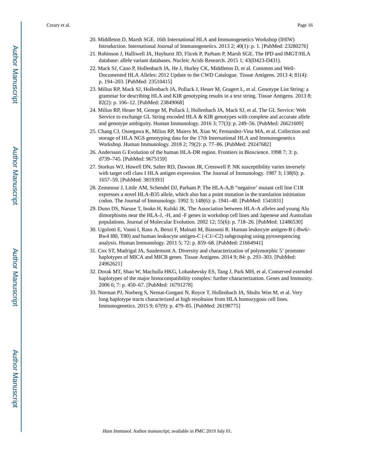Creary et al. Page 16

- 20. Middleton D, Marsh SGE. 16th International HLA and Immunogenetics Workshop (IHIW) Introduction. International Journal of Immunogenetics. 2013 2; 40(1): p. 1. [PubMed: 23280276]
- 21. Robinson J, Halliwell JA, Hayhurst JD, Flicek P, Parham P, Marsh SGE. The IPD and IMGT/HLA database: allele variant databases. Nucleic Acids Research. 2015 1; 43(D423-D431).
- 22. Mack SJ, Cano P, Hollenbach JA, He J, Hurley CK, Middleton D, et al. Common and Well-Documented HLA Alleles: 2012 Update to the CWD Catalogue. Tissue Antigens. 2013 4; 81(4): p. 194–203. [PubMed: 23510415]
- 23. Milius RP, Mack SJ, Hollenbach JA, Pollack J, Heuer M, Gragert L, et al. Genotype List String: a grammar for describing HLA and KIR genotyping results in a text string. Tissue Antigens. 2013 8; 82(2): p. 106–12. [PubMed: 23849068]
- 24. Milius RP, Heuer M, George M, Pollack J, Hollenbach JA, Mack SJ, et al. The GL Service: Web Service to exchange GL String encoded HLA & KIR genotypes with complete and accurate allele and genotype ambiguity. Human Immunology. 2016 3; 77(3): p. 249–56. [PubMed: 26621609]
- 25. Chang CJ, Osoegawa K, Milius RP, Maiers M, Xiao W, Fernandez-Vina MA, et al. Collection and storage of HLA NGS genotyping data for the 17th International HLA and Immunogenetics Workshop. Human Immunology. 2018 2; 79(2): p. 77–86. [PubMed: 29247682]
- 26. Andersson G Evolution of the human HLA-DR region. Frontiers in Bioscience. 1998 7; 3: p. d739–745. [PubMed: 9675159]
- 27. Storkus WJ, Howell DN, Salter RD, Dawson JR, Cresswell P. NK susceptibility varies inversely with target cell class I HLA antigen expression. The Journal of Immunology. 1987 3; 138(6): p. 1657–59. [PubMed: 3819393]
- 28. Zemmour J, Little AM, Schendel DJ, Parham P. The HLA-A,B "negative' mutant cell line C1R expresses a novel HLA-B35 allele, which also has a point mutation in the translation inititiation codon. The Journal of Immunology. 1992 3; 148(6): p. 1941–48. [PubMed: 1541831]
- 29. Dunn DS, Naruse T, Inoko H, Kulski JK. The Association between HLA-A alleles and young Alu dimorphisms near the HLA-J, -H, and -F genes in workshop cell lines and Japenese and Australian populations. Journal of Molecular Evolution. 2002 12; 55(6): p. 718–26. [PubMed: 12486530]
- 30. Ugolotti E, Vanni I, Raso A, Benzi F, Malnati M, Biassoni R. Human leukocyte antigen-B (-Bw6/- Bw4 I80, T80) and human leukocyte antigen-C (-C1/-C2) subgrouping using pyrosequencing analysis. Human Immunology. 2011 5; 72: p. 859–68. [PubMed: 21664941]
- 31. Cox ST, Madrigal JA, Saudemont A. Diversity and characterization of polymorphic 5' promoter haplotypes of MICA and MICB genes. Tissue Antigens. 2014 9; 84: p. 293-303. [PubMed: 24962621]
- 32. Dorak MT, Shao W, Machulla HKG, Lobashevsky ES, Tang J, Park MH, et al. Conserved extended haplotypes of the major histocompatibility complex: further characterization. Genes and Immunity. 2006 6; 7: p. 450–67. [PubMed: 16791278]
- 33. Norman PJ, Norberg S, Nemat-Gorgani N, Royce T, Hollenbach JA, Shults Won M, et al. Very long haplotype tracts characterized at high resoltuion from HLA homozygous cell lines. Immunogenetics. 2015 9; 67(9): p. 479–85. [PubMed: 26198775]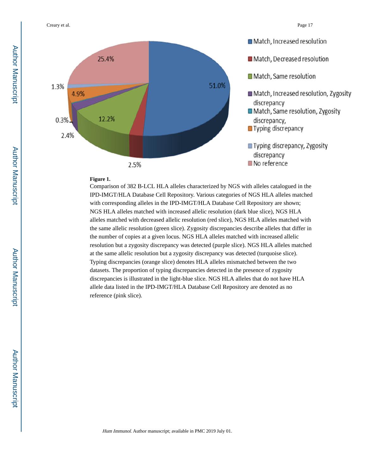Creary et al. Page 17



#### **Figure 1.**

Comparison of 382 B-LCL HLA alleles characterized by NGS with alleles catalogued in the IPD-IMGT/HLA Database Cell Repository. Various categories of NGS HLA alleles matched with corresponding alleles in the IPD-IMGT/HLA Database Cell Repository are shown; NGS HLA alleles matched with increased allelic resolution (dark blue slice), NGS HLA alleles matched with decreased allelic resolution (red slice), NGS HLA alleles matched with the same allelic resolution (green slice). Zygosity discrepancies describe alleles that differ in the number of copies at a given locus. NGS HLA alleles matched with increased allelic resolution but a zygosity discrepancy was detected (purple slice). NGS HLA alleles matched at the same allelic resolution but a zygosity discrepancy was detected (turquoise slice). Typing discrepancies (orange slice) denotes HLA alleles mismatched between the two datasets. The proportion of typing discrepancies detected in the presence of zygosity discrepancies is illustrated in the light-blue slice. NGS HLA alleles that do not have HLA allele data listed in the IPD-IMGT/HLA Database Cell Repository are denoted as no reference (pink slice).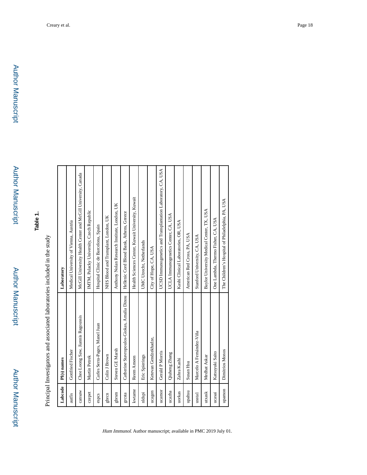## **Table 1.**

Principal Investigators and associated laboratories included in the study Principal Investigators and associated laboratories included in the study

| Labcode | PI(s) names                                 | Laboratory                                                    |
|---------|---------------------------------------------|---------------------------------------------------------------|
| autfis  | Gottfried Fischer                           | Medical University of Vienna, Austria                         |
| cansaw  | Chee Loong Saw, Jiannis Ragoussis           | McGill University Health Center and McGill University, Canada |
| czepet  | Martin Petrek                               | IMTM, Palacky University, Czech Republic                      |
| espcs   | Carles Serra-Pages, Manel Juan              | Hospital Clinic de Barcelona, Spain                           |
| gbrcn   | Colin J Brown                               | NHS Blood and Transplant, London, UK                          |
| gbrsm   | Steven GE Marsh                             | Anthony Nolan Research Institute, London, UK                  |
| gresta  | Catherine Stavropoulos-Giokas, Amalia Dinou | Hellenic Cord Blood Bank, Athens, Greece                      |
| kwtame  | Reem Ameen                                  | Health Sciences Center, Kuwait University, Kuwait             |
| nldspi  | Eric Spierings                              | UMC Utrecht, Netherlands                                      |
| ucagen  | Ketevan Gendzekhadze,                       | City of Hope, CA, USA                                         |
| ucamor  | Gerald P Morris                             | UCSD Immunogenetics and Transplantation Laboratory, CA, USA   |
| ucazha  | Qiuheng Zhang                               | UCLA Immunogenetics Center, CA, USA                           |
| uorkas  | Zahra Kashi                                 | Kashi Clinical Laboratories, OR, USA                          |
| upahsu  | Susan Hsu                                   | American Red Cross, PA, USA                                   |
| usstal  | Marcelo A Fernández-Vi a                    | Stanford University, CA, USA                                  |
| utxask  | Medhat Askar                                | Baylor University Medical Center, TX, USA                     |
| ucasai  | Katsuyuki Saito                             | One Lambda, Thermo Fisher, CA, USA                            |
| upamon  | Dimitrios Monos                             | The Children's Hospital of Philadelphia, PA, USA              |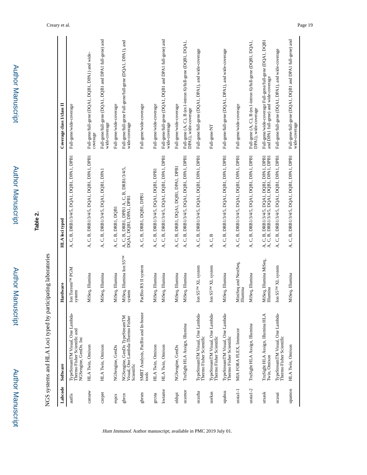|           | NGS systems and HLA Loci typed by participating laboratories                              |                                         |                                                                                              |                                                                                                 |
|-----------|-------------------------------------------------------------------------------------------|-----------------------------------------|----------------------------------------------------------------------------------------------|-------------------------------------------------------------------------------------------------|
| Labcode   | Software                                                                                  | Hardware                                | HLA loci typed                                                                               | Coverage class I/class II                                                                       |
| autfis    | TypeStreamTM Visual, One Lambda-<br>Thermo Fisher Scientific and<br>NGSengine, GenDx. Inc | Ion Torrent <sup>TM</sup> PGM<br>system | A, C, B, DRB1/3/4/5, DQA1, DQB1, DPA1, DPB1                                                  | Full-gene/wide-coverage                                                                         |
| cansaw    | HLA Twin, Omixon                                                                          | MiSeq, Illumina                         | A, C, B, DRB1/3/4/5, DQA1, DQB1, DPA1, DPB1                                                  | Full-gene/full-gene (DQA1, DQB1, DPA1) and wide-<br>coverage                                    |
| czepet    | HLA Twin, Omixon                                                                          | MiSeq, Illumina                         | A, C, B, DRB1/3/4/5, DQA1, DQB1, DPA1                                                        | Full-gene/full-gene (DQA1, DQB1 and DPA1 full-gene) and<br>wide-coverage                        |
| espcs     | NGSengine, GenDx                                                                          | MiSeq, Illumina                         | A, C, B, DRB1, DQB1                                                                          | Full-gene/wide-coverage                                                                         |
| gbrcn     | NGSengine, GenDx TypeStreamTM<br>Visual, One Lambda-Thermo Fisher<br>Scientific           | MiSeq, Illumina Ion S5TM<br>system      | A, C, B, DRB I, DPB I A, C, B, DRB I/3/4/5,<br>DQA I, DQB I, DPA I, DPB I                    | Full-gene/full-gene Full-gene/full-gene (DQA1, DPA1), and<br>wide-coverage                      |
| gbrsm     | SMRT Analysis, PacBio and In-house<br>tools                                               | PacBio RS II system                     | A, C, B, DRB1, DQB1, DPB1                                                                    | Full-gene/wide-coverage                                                                         |
| grcsta    | HLA Twin, Omixon                                                                          | MiSeq, Illumina                         | A, C, B, DRB1/3/4/5, DQA1, DQB1, DPB1                                                        | Full-gene/wide-coverage                                                                         |
| kwtame    | HLA Twin, Omixon                                                                          | MiSeq, Illumina                         | A, C, B, DRB1/3/4/5, DQA1, DQB1, DPA1, DPB1                                                  | Full-gene/full-gene (DQA1, DQB1 and DPA1 full-gene) and<br>wide-coverage                        |
| nldspi    | NGSengine, GenDx                                                                          | MiSeq, Illumina                         | A, C, B, DRB1, DQA1, DQB1, DPA1, DPB1                                                        | Full-gene/wide-coverage                                                                         |
| ucamor    | TruSight HLA Assign, Illumina                                                             | MiSeq, Illumina                         | A, C, B, DRB1/3/4/5, DQA1, DQB1, DPA1, DPB1                                                  | Full-gene (A, C), B (ex1-intron 6)/full-gene (DQB1, DQA1,<br>DPA1), wide-coverage               |
| ucazha    | TypeStreamTM Visual, One Lambda-<br>Thermo Fisher Scientific                              | Ion S5 <sup>TM</sup> XL system          | A, C, B, DRB1/3/4/5, DQA1, DQB1, DPA1, DPB1                                                  | Full-gene/full-gene (DQA1, DPA1), and wide-coverage                                             |
| uorkas    | TypeStreamTM Visual, One Lambda-<br>Thermo Fisher Scientific                              | Ion S5 <sup>TM</sup> XL system          | A, C, B                                                                                      | Full-gene/NT                                                                                    |
| upahsu    | TypeStreamTM Visual, One Lambda-<br>Thermo Fisher Scientific                              | MiSeq, Illumina                         | A, C, B, DRB1/3/4/5, DQA1, DQB1, DPA1, DPB1                                                  | Full-gene/full-gene (DQA1, DPA1), and wide-coverage                                             |
| $usta1-1$ | MIA FORA FLEX, Immucor                                                                    | MiniSeq and NextSeq,<br>Illumina        | A, C, B, DRB1/3/4/5, DQA1, DQB1, DPA1, DPB1                                                  | Full-gene/wide-coverage                                                                         |
| $usta1-2$ | TruSight HLA Assign, Illumina                                                             | MiSeq, Illumina                         | A, C, B, DRB1/3/4/5, DQA1, DQB1, DPA1, DPB1                                                  | Full-gene (A, C), B (ex1-intron 6)/full-gene (DQB1, DQA1,<br>DPAI), wide-coverage               |
| utxask    | TruSight HLA Assign, Illumina HLA<br>Twin, Omixon                                         | MiSeq, Illumina MiSeq,<br>Illumina      | A, C, B, DRB 1/3/4/5, DQA1, DQB1, DPA1, DPB1<br>A, C, B, DRB 1/3/4/5, DQA1, DQB1, DPA1, DPB1 | Full-gene/wide-coverage Full-gene/full-gene (DQA1, DQB<br>and DPA1 full-gene) and wide-coverage |
| ucasai    | TypeStreamTM Visual, One Lambda-<br>Thermo Fisher Scientific                              | Ion S5 <sup>TM</sup> XL system          | A, C, B, DRB1/3/4/5, DQA1, DQB1, DPA1, DPB1                                                  | Full-gene/full-gene (DQA1, DPA1), and wide-coverage                                             |
| upamon    | HLA Twin, Omixon                                                                          | MiSeq, Illumina                         | A, C, B, DRB1/3/4/5, DQA1, DQB1, DPA1, DPB1                                                  | Full-gene/full-gene (DQA1, DQB1 and DPA1 full-gene) and<br>wide-coverage                        |

**Author Manuscript** 

Author Manuscript

Author Manuscript

**Table 2.**

Author Manuscript

**Author Manuscript** 

Author Manuscript

Author Manuscript

Creary et al. Page 19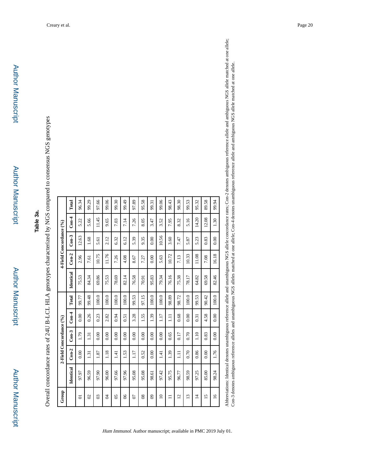**Author Manuscript** 

| l                                                                                                                                                                                                                               |  |
|---------------------------------------------------------------------------------------------------------------------------------------------------------------------------------------------------------------------------------|--|
|                                                                                                                                                                                                                                 |  |
|                                                                                                                                                                                                                                 |  |
|                                                                                                                                                                                                                                 |  |
|                                                                                                                                                                                                                                 |  |
|                                                                                                                                                                                                                                 |  |
|                                                                                                                                                                                                                                 |  |
|                                                                                                                                                                                                                                 |  |
|                                                                                                                                                                                                                                 |  |
| $\frac{1}{1}$                                                                                                                                                                                                                   |  |
|                                                                                                                                                                                                                                 |  |
|                                                                                                                                                                                                                                 |  |
|                                                                                                                                                                                                                                 |  |
|                                                                                                                                                                                                                                 |  |
|                                                                                                                                                                                                                                 |  |
|                                                                                                                                                                                                                                 |  |
|                                                                                                                                                                                                                                 |  |
|                                                                                                                                                                                                                                 |  |
|                                                                                                                                                                                                                                 |  |
|                                                                                                                                                                                                                                 |  |
|                                                                                                                                                                                                                                 |  |
|                                                                                                                                                                                                                                 |  |
|                                                                                                                                                                                                                                 |  |
|                                                                                                                                                                                                                                 |  |
|                                                                                                                                                                                                                                 |  |
|                                                                                                                                                                                                                                 |  |
|                                                                                                                                                                                                                                 |  |
|                                                                                                                                                                                                                                 |  |
|                                                                                                                                                                                                                                 |  |
|                                                                                                                                                                                                                                 |  |
|                                                                                                                                                                                                                                 |  |
|                                                                                                                                                                                                                                 |  |
|                                                                                                                                                                                                                                 |  |
| יונים וואו לא מוסד הוא המוסד הוא היה לא מוסד הוא היה לא היה לא היה לא היה לא היה לא היה לא היה לא היה לא היה ל<br>לא לא היה לא היה לא היה לא היה לא היה לא היה לא היה לא היה לא היה לא היה לא היה לא היה לא היה לא היה לא היה ל |  |
|                                                                                                                                                                                                                                 |  |
|                                                                                                                                                                                                                                 |  |
|                                                                                                                                                                                                                                 |  |
|                                                                                                                                                                                                                                 |  |
|                                                                                                                                                                                                                                 |  |
| $\frac{1}{2}$                                                                                                                                                                                                                   |  |
|                                                                                                                                                                                                                                 |  |
|                                                                                                                                                                                                                                 |  |
|                                                                                                                                                                                                                                 |  |
|                                                                                                                                                                                                                                 |  |
|                                                                                                                                                                                                                                 |  |
|                                                                                                                                                                                                                                 |  |
|                                                                                                                                                                                                                                 |  |
|                                                                                                                                                                                                                                 |  |
|                                                                                                                                                                                                                                 |  |
|                                                                                                                                                                                                                                 |  |
|                                                                                                                                                                                                                                 |  |
|                                                                                                                                                                                                                                 |  |
|                                                                                                                                                                                                                                 |  |
|                                                                                                                                                                                                                                 |  |
|                                                                                                                                                                                                                                 |  |
|                                                                                                                                                                                                                                 |  |
|                                                                                                                                                                                                                                 |  |
|                                                                                                                                                                                                                                 |  |
|                                                                                                                                                                                                                                 |  |
|                                                                                                                                                                                                                                 |  |
|                                                                                                                                                                                                                                 |  |
|                                                                                                                                                                                                                                 |  |
|                                                                                                                                                                                                                                 |  |
|                                                                                                                                                                                                                                 |  |
|                                                                                                                                                                                                                                 |  |
| I                                                                                                                                                                                                                               |  |
|                                                                                                                                                                                                                                 |  |
|                                                                                                                                                                                                                                 |  |
|                                                                                                                                                                                                                                 |  |
|                                                                                                                                                                                                                                 |  |
|                                                                                                                                                                                                                                 |  |
|                                                                                                                                                                                                                                 |  |
|                                                                                                                                                                                                                                 |  |
| $\frac{1}{2}$                                                                                                                                                                                                                   |  |
|                                                                                                                                                                                                                                 |  |
|                                                                                                                                                                                                                                 |  |
| I                                                                                                                                                                                                                               |  |
| ׇ֚֘֝֡                                                                                                                                                                                                                           |  |
|                                                                                                                                                                                                                                 |  |
|                                                                                                                                                                                                                                 |  |
|                                                                                                                                                                                                                                 |  |
|                                                                                                                                                                                                                                 |  |
| i<br> <br> <br> <br>                                                                                                                                                                                                            |  |
|                                                                                                                                                                                                                                 |  |
|                                                                                                                                                                                                                                 |  |
|                                                                                                                                                                                                                                 |  |
|                                                                                                                                                                                                                                 |  |
|                                                                                                                                                                                                                                 |  |
|                                                                                                                                                                                                                                 |  |
|                                                                                                                                                                                                                                 |  |
|                                                                                                                                                                                                                                 |  |
|                                                                                                                                                                                                                                 |  |
|                                                                                                                                                                                                                                 |  |
|                                                                                                                                                                                                                                 |  |
|                                                                                                                                                                                                                                 |  |
|                                                                                                                                                                                                                                 |  |
|                                                                                                                                                                                                                                 |  |
|                                                                                                                                                                                                                                 |  |
|                                                                                                                                                                                                                                 |  |
|                                                                                                                                                                                                                                 |  |
|                                                                                                                                                                                                                                 |  |
|                                                                                                                                                                                                                                 |  |
|                                                                                                                                                                                                                                 |  |
|                                                                                                                                                                                                                                 |  |
|                                                                                                                                                                                                                                 |  |
|                                                                                                                                                                                                                                 |  |
|                                                                                                                                                                                                                                 |  |
|                                                                                                                                                                                                                                 |  |
|                                                                                                                                                                                                                                 |  |
| l                                                                                                                                                                                                                               |  |

| Group                    |               | 2-Field Concordance (%) |          |                      |               |           | 4-Field Concordance (%) |               |               |       |
|--------------------------|---------------|-------------------------|----------|----------------------|---------------|-----------|-------------------------|---------------|---------------|-------|
|                          | Identical     | $Con-2$                 | $Con-3$  | $Con-4$              | Total         | Identical | $Con-2$                 | $Con-3$       | $\frac{4}{3}$ | Total |
| 5                        | 97.97         | 0.00                    | 1.79     | 0.00                 | 99.77         | 75.53     | 2.96                    | 12.63         | 5.22          | 96.34 |
| $\infty$                 | 96.59         | 1.31                    | 1.31     | 0.26                 | 99.48         | 84.34     | 7.61                    | 1.68          | 5.66          | 99.29 |
| $\overline{0}$           | 97.90         | 1.87                    | 0.00     | 0.23                 | 100.0         | 69.86     | 10.75                   | 5.61          | 11.45         | 97.66 |
| Å                        | 96.00         | 1.18                    | 0.00     | 2.82                 | 100.0         | 75.53     | 11.76                   | 2.12          | 9.65          | 99.06 |
| $\overline{05}$          | 97.66         | 141                     | 0.00     | 0.94                 | 100.0         | 78.69     | 7.26                    | 6.32          | 7.03          | 99.30 |
| $\delta$                 | 97.96         | 1.53                    | 0.00     | 0.51                 | 100.0         | 82.14     | 4.08                    | 6.12          | 7.14          | 99.49 |
| S)                       | 95.08         | 117                     | 0.00     | 3.28                 | 99.53         | 76.58     | 8.67                    | 5.39          | 7.26          | 97.89 |
| $\overline{\phantom{0}}$ | 95.08         | 0.52                    | 0.00     | 1.55                 | 97.15         | 70.91     | 7.27                    | 9.35          | 8.05          | 95.58 |
| $\overline{8}$           | 98.61         | 0.00                    | 0.00     | 1.39                 | 100.0         | 95.83     | 0.00                    | 0.00          | 3.47          | 99.31 |
| $\Omega$                 | 97.42         | 141                     | 0.00     | 1.17                 | 100.0         | 79.34     | 5.63                    | 10.56         | 3.52          | 99.06 |
| $\Box$                   | 95.75         | 1.39                    | 0.65     | $\Xi$                | 98.89         | 76.16     | 10.72                   | 3.60          | 7.95          | 98.43 |
| $\overline{c}$           | 96.77         | $\Xi$                   | 0.17     | 0.68                 | 98.72         | 75.38     | 7.13                    | 7.47          | 8.32          | 98.30 |
| $\overline{13}$          | 98.59         | 0.70                    | 0.70     | 0.00                 | 100.0         | 78.17     | 10.33                   | 5.87          | 5.16          | 99.53 |
| $\overline{4}$           | 97.25         | 0.86                    | 1.10     | 0.31                 | 99.53         | 64.82     | 11.08                   | 5.23          | 14.20         | 95.32 |
| $\overline{15}$          | 85.00         | 0.00                    | 0.83     | 4.58                 | 90.42         | 69.58     | 7.08                    | 0.83          | 12.08         | 89.58 |
| $\overline{a}$           | 98.24         | 1.76                    | 0.00     | 0.00                 | 100.0         | 82.46     | 16.18                   | 0.00          | 1.30          | 99.94 |
| $\frac{1}{2}$            | $\frac{1}{2}$ |                         | $\vdots$ | $\ddot{\phantom{0}}$ | $\frac{1}{2}$ | .<br>.    | $\sum_{k=1}^{n}$        | $\frac{1}{1}$ |               | ζ     |

Hum Immunol. Author manuscript; available in PMC 2019 July 01.

Abbreviations: Identical denotes unambiguous reference allele and unambiguous NGS allele concordance rates; Con-2 denotes ambiguous reference allele and ambiguous NGS allele matched at one allele;<br>Con-3 denotes ambiguous r Abbreviations: Identical denotes unambiguous reference allele and unambiguous NGS allele concordance rates; Con-2 denotes ambiguous reference allele and ambiguous NGS allele matched at one allele; Con-3 denotes ambiguous reference alleles and unambiguous NGS alleles matched at one allele; Con-4 denotes unambiguous reference allele and ambiguous NGS allele matched at one allele.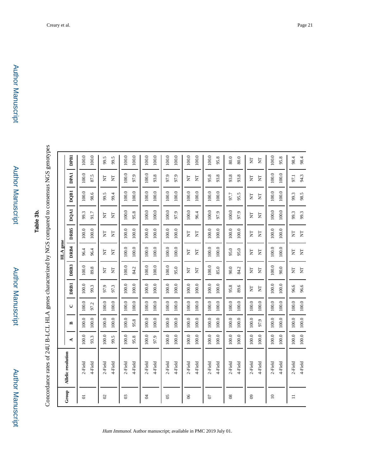Author Manuscript

Author Manuscript

**Author Manuscript** 

|                            |                    |       |              |         |         |                         | HLA gene                |                              |         |         |                         |             |
|----------------------------|--------------------|-------|--------------|---------|---------|-------------------------|-------------------------|------------------------------|---------|---------|-------------------------|-------------|
| Group                      | Allelic resolution | ⋖     | $\mathbf{r}$ | $\cup$  | DRB1    | DRB3                    | DRB4                    | <b>DRB5</b>                  | DQA1    | DQB1    | DPA1                    | <b>DPB1</b> |
| $\overline{5}$             | 2-Field            | 100.0 | 100.0        | 100.0   | 100.0   | 100.0                   | 96.4                    | $100.0$                      | 99.3    | $100.0$ | 100.0                   | 100.0       |
|                            | 4-Field            | 93.3  | 100.0        | 97.2    | 99.3    | 89.8                    | 96.4                    | 100.0                        | 91.7    | 98.6    | 87.5                    | 100.0       |
| $\boldsymbol{\mathcal{S}}$ | 2-Field            | 100.0 | 100.0        | 100.0   | 97.3    | E                       | Ę                       | E                            | Ę       | 99.5    | E                       | 99.5        |
|                            | 4-Field            | 99.5  | 100.0        | 100.0   | 97.9    | E                       | E                       | $\overline{\mathsf{z}}$      | E       | 99.4    | Ë                       | 99.5        |
| ఇ                          | 2-Field            | 100.0 | 100.0        | 100.0   | 100.0   | 100.0                   | 100.0                   | 100.0                        | 100.0   | 100.0   | 100.0                   | 100.0       |
|                            | 4-Field            | 95.8  | 95.8         | $100.0$ | $100.0$ | 84.2                    | $100.0$                 | 100.0                        | 95.8    | $100.0$ | 97.9                    | $100.0$     |
| इ                          | 2-Field            | 100.0 | 100.0        | 100.0   | 100.0   | 100.0                   | $100.0$                 | 100.0                        | 100.0   | $100.0$ | 100.0                   | 100.0       |
|                            | 4-Field            | 97.9  | 100.0        | 100.0   | 100.0   | 100.0                   | 100.0                   | 100.0                        | 100.0   | 100.0   | 93.8                    | $100.0$     |
| $\mathcal{S}$              | 2-Field            | 100.0 | 100.0        | 100.0   | $100.0$ | $100.0$                 | $100.0$                 | 100.0                        | $100.0$ | $100.0$ | 97.9                    | $100.0$     |
|                            | 4-Field            | 100.0 | 100.0        | 100.0   | 100.0   | 95.0                    | 100.0                   | 100.0                        | 97.9    | 100.0   | 97.9                    | 100.0       |
| 8 <sup>o</sup>             | 2-Field            | 100.0 | 100.0        | 100.0   | 100.0   | $\overline{\mathsf{z}}$ | E                       | E                            | 100.0   | 100.0   | $\overline{\mathbf{z}}$ | 100.0       |
|                            | 4-Field            | 100.0 | 100.0        | 100.0   | 100.0   | Ę                       | Ë                       | Ë                            | 96.4    | 100.0   | Ę                       | $100.0$     |
| S)                         | 2-Field            | 100.0 | 100.0        | $100.0$ | 100.0   | 100.0                   | 100.0                   | 100.0                        | 100.0   | 100.0   | 95.8                    | 100.0       |
|                            | 4-Field            | 100.0 | 100.0        | $100.0$ | 100.0   | 85.0                    | $100.0$                 | 100.0                        | 97.9    | $100.0$ | 93.8                    | 95.8        |
| $8^{\circ}$                | 2-Field            | 100.0 | 100.0        | 100.0   | 95.8    | 90.0                    | 95.0                    | 100.0                        | 100.0   | 97.7    | 93.8                    | 80.0        |
|                            | 4-Field            | 100.0 | 100.0        | 100.0   | 89.6    | 84.2                    | 95.0                    | 100.0                        | 97.9    | 95.5    | 93.8                    | 80.0        |
| ව                          | 2-Field            | 100.0 | 100.0        | 100.0   | Ë       | Ë                       | Ë                       | Ë                            | Ë       | Ę       | Ë                       | E           |
|                            | 4-Field            | 100.0 | 97.9         | 100.0   | Ë       | E                       | E                       | E                            | Ë       | E       | $\overline{\mathbf{z}}$ | E           |
| $\approx$                  | 2-Field            | 100.0 | 100.0        | 100.0   | 100.0   | 100.0                   | 100.0                   | 100.0                        | 100.0   | 100.0   | 100.0                   | 100.0       |
|                            | 4-Field            | 100.0 | 100.0        | 100.0   | 100.0   | 90.0                    | 100.0                   | 100.0                        | 100.0   | 100.0   | 100.0                   | 95.8        |
| $\equiv$                   | 2-Field            | 100.0 | 100.0        | 100.0   | 96.6    | E                       | $\overline{\mathbf{z}}$ | $\overleftarrow{\mathbf{z}}$ | 99.3    | 98.5    | 94.3                    | 98.4        |
|                            | 4-Field            | 100.0 | $100.0$      | $100.0$ | 96.6    | E                       | E                       | E                            | 99.3    | 99.3    | 97.1                    | 98.4        |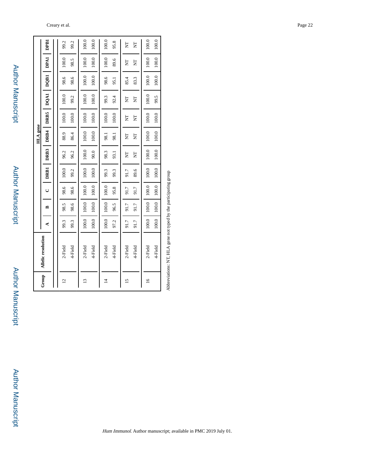|                 |                                                          |       |         |         |             |       | HLA gene                |         |         |             |       |       |
|-----------------|----------------------------------------------------------|-------|---------|---------|-------------|-------|-------------------------|---------|---------|-------------|-------|-------|
| Group           | <b>Allelic</b> resolution                                | ¢     | ≏       | U       | <b>DRB1</b> | DRB3  | DRB4                    | DRB5    | DQA1    | <b>DQB1</b> | DPA1  | DPB1  |
|                 |                                                          |       |         |         |             |       |                         |         |         |             |       |       |
| $\overline{c}$  | 2-Field                                                  | 99.3  | 98.5    | 98.6    | 100.0       | 96.2  | 88.9                    | 100.0   | 100.0   | 98.6        | 100.0 | 99.2  |
|                 | 4-Field                                                  | 99.3  | 98.6    | 98.6    | 99.2        | 96.2  | 86.4                    | 100.0   | 99.2    | 98.6        | 98.5  | 99.2  |
| $\mathbf{13}$   | 2-Field                                                  | 100.0 | 100.0   | 100.0   | 100.0       | 100.0 | 100.0                   | 100.0   | 100.0   | 100.0       | 100.0 | 100.0 |
|                 | 4-Field                                                  | 100.0 | $100.0$ | 100.0   | $100.0$     | 90.0  | 100.0                   | $100.0$ | $100.0$ | $100.0$     | 100.0 | 100.0 |
| $\overline{4}$  | 2-Field                                                  | 100.0 | 100.0   | 100.0   | 99.3        | 98.3  | $-8.1$                  | 100.0   | 99.3    | 98.6        | 100.0 | 100.0 |
|                 | 4-Field                                                  | 97.2  | 96.5    | 95.8    | 99.3        | 93.1  | 98.1                    | 100.0   | 92.4    | 95.1        | 89.6  | 95.8  |
| $\overline{15}$ | 2-Field                                                  | 91.7  | 91.7    | 91.7    | 91.7        | E     | ξ                       | E       | Ę       | 85.4        | E     | ξ     |
|                 | 4-Field                                                  | 91.7  | 91.7    | 91.7    | 89.6        | Ę     | $\mathbf{\overline{z}}$ | Ę       | E       | 83.3        | ξ     | E     |
| $\frac{6}{2}$   | 2-Field                                                  | 100.0 | $100.0$ | $100.0$ | 100.0       | 100.0 | 100.0                   | 100.0   | 100.0   | 100.0       | 100.0 | 100.0 |
|                 | 4-Field                                                  | 100.0 | 100.0   | 100.0   | 100.0       | 100.0 | 100.0                   | 100.0   | 99.5    | $100.0$     | 100.0 | 100.0 |
|                 | Abbearian NTT A can not tread her the nortion tine crown |       |         |         |             |       |                         |         |         |             |       |       |

Abbreviations: NT, HLA gene not typed by the participating group Abbreviations: NT, HLA gene not typed by the participating group

**Author Manuscript** Author Manuscript

Author Manuscript

Author Manuscript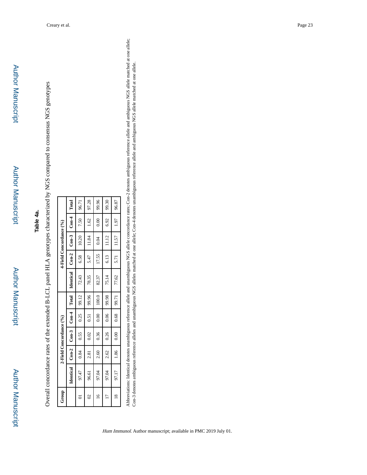| ֖֧֧֦֧ׅ֧֧֧֚֚֚֚֚֚֚֚֚֚֚֚֚֚֚֚֚֚֚֚֚֚֚֬֝֓֜֝֓֝֓<br>י רב הביטו                                                                                                                                                                                                                                                                                               |
|------------------------------------------------------------------------------------------------------------------------------------------------------------------------------------------------------------------------------------------------------------------------------------------------------------------------------------------------------|
|                                                                                                                                                                                                                                                                                                                                                      |
|                                                                                                                                                                                                                                                                                                                                                      |
| $\vdots$<br>$\ddot{\phantom{a}}$                                                                                                                                                                                                                                                                                                                     |
| )<br>)<br>;<br>i<br>;<br>;                                                                                                                                                                                                                                                                                                                           |
|                                                                                                                                                                                                                                                                                                                                                      |
| $\frac{1}{2}$<br>i                                                                                                                                                                                                                                                                                                                                   |
| 1                                                                                                                                                                                                                                                                                                                                                    |
|                                                                                                                                                                                                                                                                                                                                                      |
| $\begin{bmatrix} 1 & 0 & 0 \\ 0 & 0 & 0 \\ 0 & 0 & 0 \\ 0 & 0 & 0 \\ 0 & 0 & 0 \\ 0 & 0 & 0 \\ 0 & 0 & 0 & 0 \\ 0 & 0 & 0 & 0 \\ 0 & 0 & 0 & 0 \\ 0 & 0 & 0 & 0 & 0 \\ 0 & 0 & 0 & 0 & 0 \\ 0 & 0 & 0 & 0 & 0 \\ 0 & 0 & 0 & 0 & 0 & 0 \\ 0 & 0 & 0 & 0 & 0 & 0 \\ 0 & 0 & 0 & 0 & 0 & 0 & 0 \\ 0 & 0 & 0 & 0 & 0 & 0 & 0 \\ $<br>$\frac{1}{2}$<br>l |
| י<br> <br> <br> <br> <br>$\frac{1}{1}$                                                                                                                                                                                                                                                                                                               |
|                                                                                                                                                                                                                                                                                                                                                      |
|                                                                                                                                                                                                                                                                                                                                                      |
| es of ti                                                                                                                                                                                                                                                                                                                                             |
| l                                                                                                                                                                                                                                                                                                                                                    |
|                                                                                                                                                                                                                                                                                                                                                      |
|                                                                                                                                                                                                                                                                                                                                                      |
|                                                                                                                                                                                                                                                                                                                                                      |

| Group        |                                                         | 2-Field Concordance (%) |      |      |              |                                             |       | 4-Field Concordance (%) |      |       |
|--------------|---------------------------------------------------------|-------------------------|------|------|--------------|---------------------------------------------|-------|-------------------------|------|-------|
|              | Identical $\mid$ Con-2 $\mid$ Con-3 $\mid$ Con-4 $\mid$ |                         |      |      | <b>Total</b> | Identical $ $ Con-2 $ $ Con-3 $ $ Con-4 $ $ |       |                         |      | Total |
| ē            | 97.47                                                   | 0.84                    | 0.55 | 0.25 | 99.12        | 72.43                                       | 6.58  | 10.20                   | 7.50 | 96.71 |
| $\mathbb{S}$ | 96.61                                                   | 2.81                    | 0.02 | 0.51 | 99.96        | 78.35                                       | 5.47  | $11.84$ $\cdot$         | 1.62 | 97.28 |
| $\epsilon$   | 97.04                                                   | 2.60                    | 0.36 | 0.00 | 100.0        | 82.37                                       | 17.55 | 0.04                    | 0.00 | 99.96 |
|              | 97.04                                                   | 2.62                    | 0.26 | 0.06 | 99.98        | 75.14                                       | 6.13  | 11.12                   | 6.92 | 99.30 |
| $\approx$    | 97.17                                                   | 1.86                    | 0.00 | 0.68 | 99.71        | 77.62                                       | 5.71  | 11.57                   | 1.97 | 96.87 |
|              |                                                         |                         |      |      |              |                                             |       |                         |      |       |

Abbreviations: Identical denotes unambiguous reference allele and unambiguous NGS allele concordance rates; Con-2 denotes ambiguous reference allele and ambiguous NGS allele matched at one allele; Abbreviations: Identical denotes unambiguous reference allele and unambiguous NGS allele concordance rates; Con-2 denotes ambiguous reference allele and ambiguous NGS allele matched at one allele; Con-3 denotes ambiguous reference alleles and unambiguous NGS alleles matched at one allele; Con-4 denotes unambiguous reference allele and ambiguous NGS allele matched at one allele. Con-3 denotes ambiguous reference alleles and unambiguous NGS alleles matched at one allele; Con-4 denotes unambiguous reference allele and ambiguous NGS allele matched at one allele.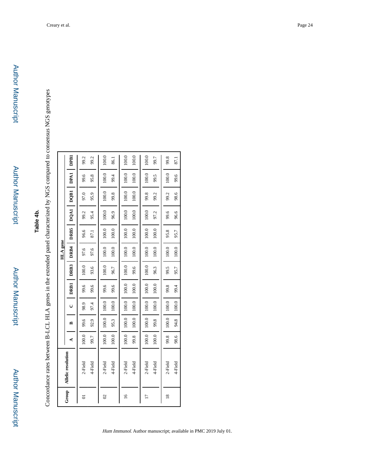**Author Manuscript** 

Author Manuscript

Author Manuscript

| $\frac{1}{2}$ $\frac{1}{2}$ $\frac{1}{2}$ $\frac{1}{2}$ $\frac{1}{2}$ $\frac{1}{2}$ $\frac{1}{2}$ $\frac{1}{2}$ $\frac{1}{2}$ $\frac{1}{2}$ |
|---------------------------------------------------------------------------------------------------------------------------------------------|
| יָ                                                                                                                                          |
| is and it                                                                                                                                   |
| <b>CONSULTANT AND IN THE UNIT</b><br>Ì<br><b>I</b>                                                                                          |
|                                                                                                                                             |
|                                                                                                                                             |
|                                                                                                                                             |
|                                                                                                                                             |
|                                                                                                                                             |
| י<br>ול                                                                                                                                     |
|                                                                                                                                             |
| - 1<br>1<br>1<br>1<br>1<br>1                                                                                                                |
|                                                                                                                                             |
| י                                                                                                                                           |
|                                                                                                                                             |
|                                                                                                                                             |
|                                                                                                                                             |

|                    |                    |       |       |         |       |       | <b>HLA</b> gene |       |             |       |             |       |
|--------------------|--------------------|-------|-------|---------|-------|-------|-----------------|-------|-------------|-------|-------------|-------|
| Group              | Allelic resolution | ¢     | ≏     | U       | DRB1  | DRB3  | DRB4            | DRB5  | <b>DQA1</b> | DQB1  | <b>DPA1</b> | DPB1  |
| $\overline{\circ}$ | 2-Field            | 100.0 | 99.6  | 98.9    | 99.6  | 100.0 | 97.6            | 96.6  | 99.2        | 97.0  | 99.6        | 99.2  |
|                    | 4-Field            | 99.7  | 92.9  | 97.4    | 9.6   | 93.6  | 97.6            | 87.1  | 95.4        | 95.9  | 95.8        | 99.2  |
| $\infty$           | 2-Field            | 100.0 | 100.0 | 100.0   | 99.6  | 100.0 | 100.0           | 100.0 | 100.0       | 100.0 | 100.0       | 100.0 |
|                    | 4-Field            | 100.0 | 95.3  | 100.0   | 9.6   | 96.7  | 100.0           | 100.0 | 96.9        | 99.8  | 99.4        | 86.1  |
| $\overline{16}$    | 2-Field            | 100.0 | 100.0 | 100.0   | 100.0 | 100.0 | 100.0           | 100.0 | 100.0       | 100.0 | 100.0       | 100.0 |
|                    | 4-Field            | 99.8  | 100.0 | $100.0$ | 100.0 | 9.6   | 100.0           | 100.0 | 100.0       | 100.0 | 100.0       | 100.0 |
| $\overline{17}$    | 2-Field            | 100.0 | 100.0 | 100.0   | 100.0 | 100.0 | 100.0           | 100.0 | 100.0       | 99.8  | 100.0       | 100.0 |
|                    | 4-Field            | 100.0 | 99.8  | 100.0   | 100.0 | 96.3  | $100.0$         | 100.0 | 97.2        | 99.2  | 99.5        | 99.7  |
| $\frac{8}{18}$     | 2-Field            | 99.8  | 100.0 | 100.0   | 99.8  | 99.5  | 100.0           | 95.8  | 99.6        | 99.2  | 100.0       | 99.8  |
|                    | 4-Field            | 98.6  | 94.8  | 100.0   | 99.4  | 95.7  | 100.0           | 95.7  | 96.6        | 98.6  | 9.6         | 87.1  |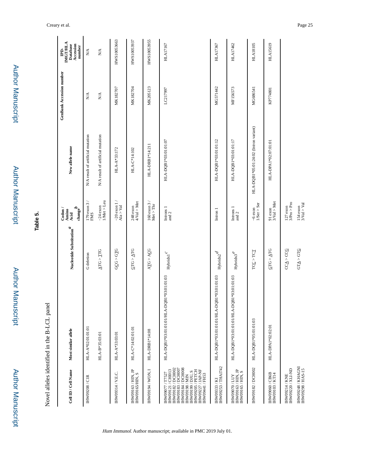| Cell ID / Cell Name                                                                                                                                                                                          | Most similar allele                            | Nucleotide Substitution $\real^d$       | $\mathrm{change}^b$<br>$\frac{C_{\text{odom}}}{\text{Amino}}$<br>Acid | New allele name                       | GenBank Accession number | <b>IMGT/HLA</b><br>Accession<br>Database<br>number<br>Ė |
|--------------------------------------------------------------------------------------------------------------------------------------------------------------------------------------------------------------|------------------------------------------------|-----------------------------------------|-----------------------------------------------------------------------|---------------------------------------|--------------------------|---------------------------------------------------------|
| <b>IHW09208 / CIR</b>                                                                                                                                                                                        | HLA-A*02:01:01:01                              | G deletion                              | $179$ exon $3\,/\,$ FMS                                               | N/A result of artificial mutation     | $\mathbf{N}/\mathbf{A}$  | $\sum_{i=1}^{n}$                                        |
|                                                                                                                                                                                                              | HLA-B*35:03:01                                 | $\Delta T G > T T G$                    | $1$ Met > Leu<br>$-24$ exon                                           | N/A result of artificial mutation     | $\sum_{i=1}^{n}$         | $\sum_{i=1}^{n}$                                        |
| IHW09314 / V.E.C.                                                                                                                                                                                            | HLA-A*33:03:01                                 | $G\underline{C}G > G\underline{T}G$     | $-20$ exon $1 /$<br>Ala > Val                                         | HLA-A*33:172                          | MK182707                 | HWS10053663                                             |
| IHW09163 / HIN, JP<br><b>IHW09165/HIN, S</b>                                                                                                                                                                 | HLA-C*14:02:01:01                              | $GTC > \underline{ATG}$                 | $4$ /Val > Met<br>248 exon                                            | HLA-C*14:102                          | MK182704                 | HWS10053937                                             |
| I NOW / 194 / WON. I                                                                                                                                                                                         | HLA-DRB1*14:08                                 | ATG > ACG                               | $160$ exon $3$ / $\,$ Met $>$ Thr                                     | HLA-DRB1*14:211                       | MK205123                 | HWS10053955                                             |
| IHW09184 / DCH008<br>IHW09182 / DCH002<br>IHW09183 / DCH007<br>EI W09121 / CHIO13<br><b>IHW09227 / JAP-NF</b><br>IHW09205 / PETCH<br>IHW09199 / DJU, S<br>HW09077/T7527<br>IHW09441 / FH53<br>IHW09198 / MIN | QB1*03:01:01:03<br>HLA-DQB1*03:01:01:01/HLA-D0 | $\operatorname{Hybridx1}^{\mathcal{C}}$ | Introns 1<br>and $2\,$                                                | HLA-DQB1*03:01:01:07                  | LC217997                 | HLA17167                                                |
| IHW09333 / KI<br>IHW09253 / THAI742                                                                                                                                                                          | HLA-DQB1*03:01:01:01/HLA-DQB1*03:01:01:03      | $_{\rm Hybrid x2}$ $\!d$                | Intron 1                                                              | HLA-DQB1*03:01:01:12                  | MG571442                 | HLA17367                                                |
| IHW09163 / HIN, JP<br>IHW09165 / HIN, S<br>IHW09070/LUY                                                                                                                                                      | HLA-DQB1*03:01:01:01/HLA-DQB1*03:01:01:03      | ${\rm Hybridx3}^{\mathcal{C}}$          | $\begin{array}{l} \text{Introns} \ 1 \\ \text{and} \ 2 \end{array}$   | HLA-DQB1*03:01:01:17                  | MF156573                 | HLA17462                                                |
| IHW09182 / DCH002                                                                                                                                                                                            | HLA-DQB1*05:01:01:03                           | TCC > TCT                               | $-6$ exon<br>1/Ser > Ser                                              | HLA-DQB1*05:01:24:02 (Intron variant) | MG686541                 | <b>HLA18105</b>                                         |
| <b>IHW09060/CB6B</b><br><b>IHW09103/KT14</b>                                                                                                                                                                 | HLA-DPA1*02:02:01                              | $GTC > \underline{A}TC$                 | 91 exon<br>$3$ Val > Met                                              | HLA-DPA1*02:07:01:01                  | KP774801                 | HLA15619                                                |
| <b>IHW09220 / XLI-ND</b><br><b>IHW09214 / KNE</b>                                                                                                                                                            |                                                | $CC\underline{A} > CC\underline{G}$     | $127$ exon $3/\mathrm{Pro} > \mathrm{Pro}$                            |                                       |                          |                                                         |
| IHW09248 / KHAGNI<br>IHW09298 / HAS-15                                                                                                                                                                       |                                                | GT <u>A</u> > GT <u>C</u>               | $\frac{154 \text{ exon}}{3 \text{Val} > \text{Val}}$                  |                                       |                          |                                                         |

Creary et al. Page 25

Author Manuscript

**Author Manuscript** 

Author Manuscript

Author Manuscript

**Table 5.**

Novel alleles identified in the B-LCL panel

Novel alleles identified in the B-LCL panel

Author Manuscript

**Author Manuscript** 

Author Manuscript

Author Manuscript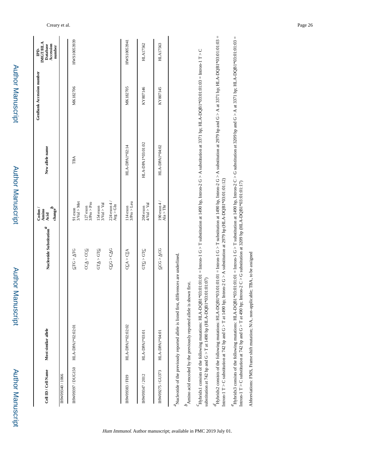| Cell ID / Cell Name | Most similar allele                                                                       | Nucleotide Substitution $\hspace{-.1cm}\rule{.1cm}{.1cm}^d$ | $\begin{array}{c} \text{Codon}\ / \text{Amino} \\ \text{Ania} \\ \text{Acid} \end{array}$<br>$\text{change}^\nu$ | New allele name   | <b>GenBank Accession number</b> | IMGT/HLA<br>Database<br>Accession<br>number<br>Ê. |
|---------------------|-------------------------------------------------------------------------------------------|-------------------------------------------------------------|------------------------------------------------------------------------------------------------------------------|-------------------|---------------------------------|---------------------------------------------------|
| IHW09340 / 1066     |                                                                                           |                                                             |                                                                                                                  |                   |                                 |                                                   |
| IHW09397 / DUG150   | HLA-DPA1*02:02:01                                                                         | $QTC > \triangle TCG$                                       | 91 exon<br>$3$ Val > Met                                                                                         | TBA               | MK182706                        | HWS10053939                                       |
|                     |                                                                                           | $CC\underline{A} > CC\underline{G}$                         | $127$ exon $3/\mathrm{Pro} > \mathrm{Pro}$                                                                       |                   |                                 |                                                   |
|                     |                                                                                           | $GT\Delta > GT\Omega$                                       | $\begin{array}{c} 154 \text{ exon} \\ 3\text{Val} > \text{Val} \end{array}$                                      |                   |                                 |                                                   |
|                     |                                                                                           | $C\underline{GO} > C\underline{AO}$                         | $224 \exp 4/$<br>$Arg > Gln$                                                                                     |                   |                                 |                                                   |
| IHW09383 / FH9      | HLA-DPA1*02:02:02                                                                         | CCA > CTA                                                   | $3/Pro > Leu$<br>114 exon                                                                                        | HLA-DPA1*02:14    | MK182705                        | HWS10053941                                       |
| IHW09347 / 2012     | HLA-DPA1*03:01                                                                            | GTC > GTC                                                   | $4$ Val $>$ Val $\,$<br>204 exon                                                                                 | HLA-DPA1*03:01:02 | KY807146                        | HLA17562                                          |
| IHW09275 / GU373    | HLA-DPA1*04:01                                                                            | $C = 4C$                                                    | 190 $\exp(4/$<br>Ala > Thr                                                                                       | HLA-DPA1*04:02    | KY807145                        | <b>HLA17563</b>                                   |
|                     | Aucleotide of the previously reported allele is listed first, differences are underlined. |                                                             |                                                                                                                  |                   |                                 |                                                   |
|                     |                                                                                           |                                                             |                                                                                                                  |                   |                                 |                                                   |

Hum Immunol. Author manuscript; available in PMC 2019 July 01.

 $H_2$ bridx1 consists of the following mutations: HLA-DQB1\*03:01:01:01 = Intron-1 G > T substitution at 1490 bp, Intron-2 G > A substitution at 3371 bp; HLA-DQB1\*03:01:01:03 = Intron-1 T > C Hybridx1 consists of the following mutations: HLA-DQB1\*03:01:01:01 = Intron-1 G > T substitution at 1490 bp, Intron-2 G > A substitution at 3371 bp; HLA-DQB1\*03:01:01:03 = Intron-1 T > C substitution at 742 bp and G  $>$  T at 1490 bp (HLA-DQB1\*03:01:01:07) substitution at 742 bp and G  $>$  T at 1490 bp (HLA-DQB1\*03:01:01:07)  $d_{\text{HybridX2}}$  consists of the following mutations: HLA-DQB1\*03:01:01 = Intron-1 G > T substitution at 1490 bp. Intron-2 G > A substitution at 2979 bp and G > A at 3371 bp; HLA-DQB1\*03:01:013 = Hybridx2 consists of the following mutations: HLA-DQB1\*03:01:01:01 = Intron-1 G > T substitution at 1490 bp, Intron-2 G > A substitution at 2979 bp and G > A at 3371 bp; HLA-DQB1\*03:01:01:03 = Intron-1 T > C substitution at 742 bp and G > T at 1490 bp; Intron-2 G > A substitution at 2979 bp (HLA-DQB1\*03:01:01:12) Intron-1 T > C substitution at 742 bp and G > T at 1490 bp; Intron-2 G > A substitution at 2979 bp (HLA-DQB1\*03:01:01:12)  $\mu$ ybridx3 consists of the following mutations: HLA-DQB1\*03:01:01:01 = Intron-1 G > T substitution at 1490 bp. Intron-2 C > G substitution at 3209 bp and G > A at 3371 bp; HLA-DQB1\*03:01:03 = Hybridx3 consists of the following mutations: HLA-DQB1\*03:01:01:01 = Intron-1 G > T substitution at 1490 bp, Intron-2 C > G substitution at 3209 bp and G > A at 3371 bp; HLA-DQB1\*03:01:01:03 = Intron-1 T > C substitution at 742 bp and G > T at 490 bp; Intron-2 C > G substitution at 3209 bp (HLA-DQB1\*03:01:01:17) Intron-1 T > C substitution at 742 bp and G > T at 490 bp; Intron-2 C > G substitution at 3209 bp (HLA-DQB1\*03:01:01:17)

Abbreviations: FMS, Frame shift mutation; N/A, non-applicable; TBA, to be assigned Abbreviations: FMS, Frame shift mutation; N/A, non-applicable; TBA, to be assigned

Author Manuscript

Author Manuscript

Author Manuscript

**Author Manuscript** 

Author Manuscript

Author Manuscript

Author Manuscript

Author Manuscript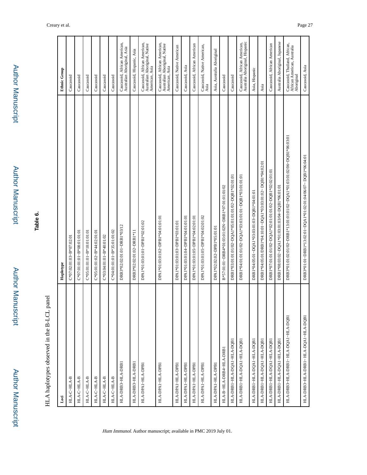# **Table 6.**

# HLA haplotypes observed in the B-LCL panel HLA haplotypes observed in the B-LCL panel

| Loci                                 | Haplotype                                                                 | <b>Ethnic Group</b>                                                             |
|--------------------------------------|---------------------------------------------------------------------------|---------------------------------------------------------------------------------|
| $_{\rm HLA\mbox{-}CHLA\mbox{-}B}$    | $C*07:02:01:03-B*07:02:01$                                                | Caucasoid                                                                       |
| HLA-C-HLA-B                          | $C*07:01:01.01- B*08:01:01:01$                                            | Caucasoid                                                                       |
| HLA-C-HLA-B                          | $C*05:01:01.01- B*18:01:01:01$                                            | Caucasoid                                                                       |
| HLA-C-HLA-B                          | C*05:01:01:02~B*44:02:01:01                                               | Caucasoid                                                                       |
| HLA-C-HLA-B                          | $C*03:04:01:01~B*40:01:02$                                                | Caucasoid                                                                       |
| HLA-C~HLA-B                          | C*04:01:01:01~B*35:01:01:02                                               | Caucasoid                                                                       |
| HLA-DRB3~HLA-DRB1                    | DRB3*02:02:01:01~DRB1*03/12                                               | Caucasoid, African American,<br>Australian Aboriginal, Asia                     |
| HLA-DRB3~HLA-DRB1                    | DRB3*02:02:01:02~DRB1*11                                                  | Caucasoid, Hispanic, Asia                                                       |
| HLA-DPA1~HLA-DPB1                    | DPA1*01:03:01:01~DPB1*02:01:02                                            | Caucasoid, African American,<br>Australian Aboriginal, Native<br>American, Asia |
| HLA-DPA1~HLA-DPB1                    | DPA1*01:03:01:02~DPB1*04:01:01:01                                         | Caucasoid, African American,<br>Australian Aboriginal, Native<br>American, Asia |
| HLA-DPA1~HLA-DPB1                    | DPA1*01:03:01:03~DPB1*03:01:01                                            | Caucasoid, Native American                                                      |
| HLA-DPA1~HLA-DPB1                    | DPA1*01:03:01:04~DPB1*04:01:01:01                                         | Caucasoid, Asia                                                                 |
| HLA-DPA1~HLA-DPB1                    | DPA1*01:03:01:05~DPB1*04:02:01:01                                         | Caucasoid, African American                                                     |
| HLA-DPA1~HLA-DPB1                    | DPA1*01:03:01:05~DPB1*04:02:01:02                                         | Caucasoid, Native American,<br>Asia                                             |
| HLA-DPA1~HLA-DPB1                    | DPA1*02:02:02~DPB1*05:01:01                                               | Asia, Australia Aboriginal                                                      |
| HLA-B-HLA-DRB4-HLA-DRB1              | B*57:01:01~DRB4*01:03:01:02N~DRB1*07:01:01:01/02                          | Caucasoid                                                                       |
| HLA-DRB1-HLA-DQA1-HLA-DQB1           | DRB1*03:01:01:01/02~DQA1*05:01:01:01/02~DQB1*02:01:01                     | Caucasoid                                                                       |
| HLA-DRBI~HLA-DQAI~HLA-DQBI           | DRB1*04:01:01/02~DQA1*03:03:01:01~DQB1*03:01:01:01                        | Caucasoid, African American,<br>Australia Aboriginal, Hispanic                  |
| HLA-DRB1~HLA-DQA1~HLA-DQB1           | DRB1*04:05:01~DQA1*03:03:01:03~DQB1*04:01:01                              | Asia, Hispanic                                                                  |
| HLA-DRB1~HLA-DQA1~HLA-DQB1           | DRB1*04:05:01/DRB1*04:10:01~DQA1*03:03:01:02~ DQB1*04:02:01               | Asia                                                                            |
| HLA-DRB1~HLA-DQA1~HLA-DQB1           | DRB1*07:01:01:01/02~DQA1*02:01:01/02~DQB1*02:02:01:01                     | Caucasoid, African American                                                     |
| HLA-DRB1-HLA-DQA1-HLA-DQB1           | DRB1*08:03:02~DQA1*01:03:01:03/04~DQB1*06:01:01                           | Australia Aboriginal, Japanese                                                  |
| HLA-DRB3-HLA-DRB1~ HLA-DQA1-HLA-DQB1 | DRB3*01:01:02:01/02-DRB1*13:01:01:01/02-DQA1*01:03:01:02/06-DQB1*06:03:01 | Caucasoid, Thailand, African,<br>African American, Australia<br>Aboriginal      |
| HLA-DRB3~HLA-DRB1~ HLA-DQA1~HLA-DQB1 | DRB3*01:01~DRB1*13:02:01~DQA1*01:02:01:04/06/07~DQB1*06:04:01             | Caucasoid, Asia                                                                 |
|                                      |                                                                           |                                                                                 |